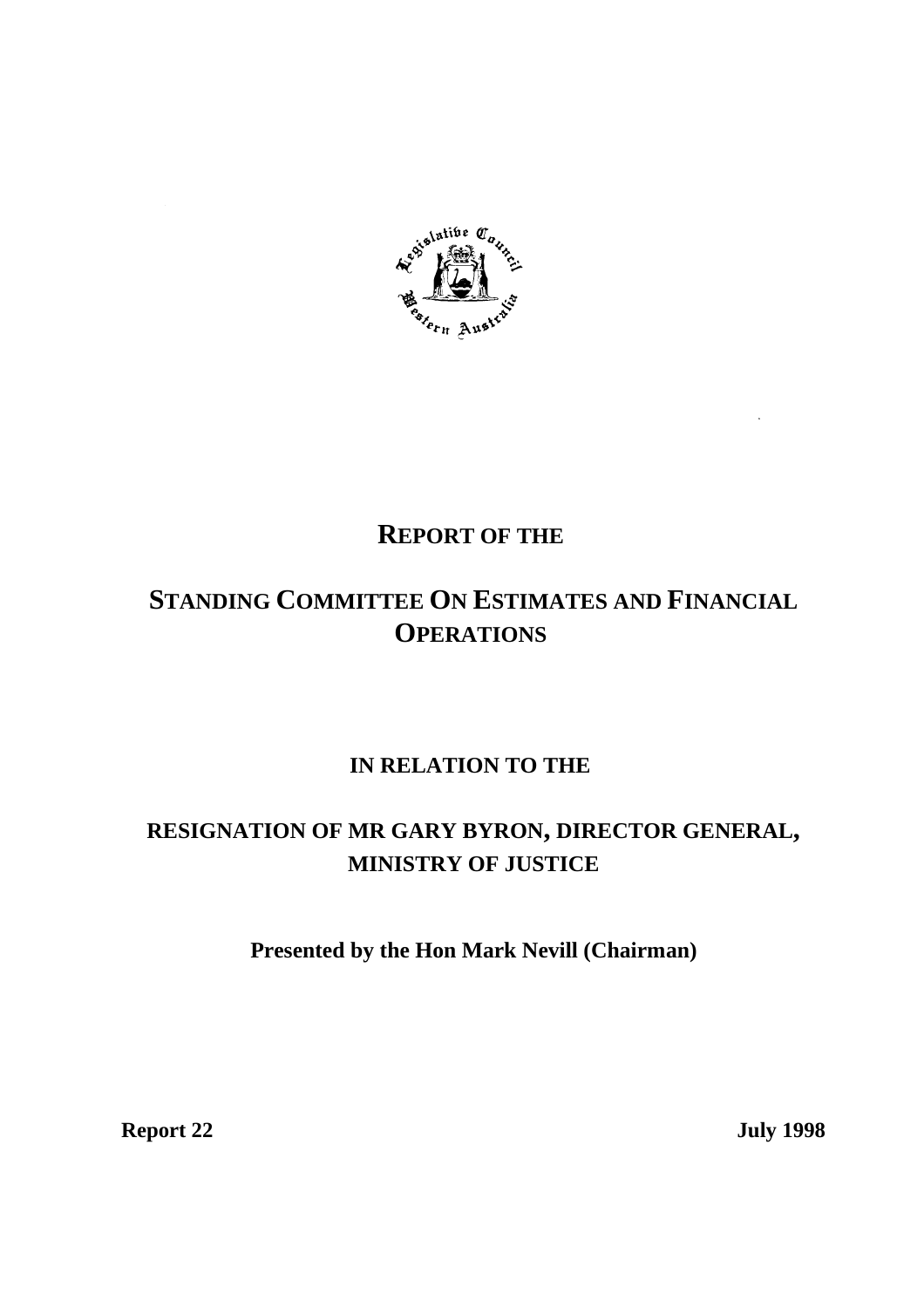

# **REPORT OF THE**

# **STANDING COMMITTEE ON ESTIMATES AND FINANCIAL OPERATIONS**

## **IN RELATION TO THE**

## **RESIGNATION OF MR GARY BYRON, DIRECTOR GENERAL, MINISTRY OF JUSTICE**

## **Presented by the Hon Mark Nevill (Chairman)**

**Report 22** July 1998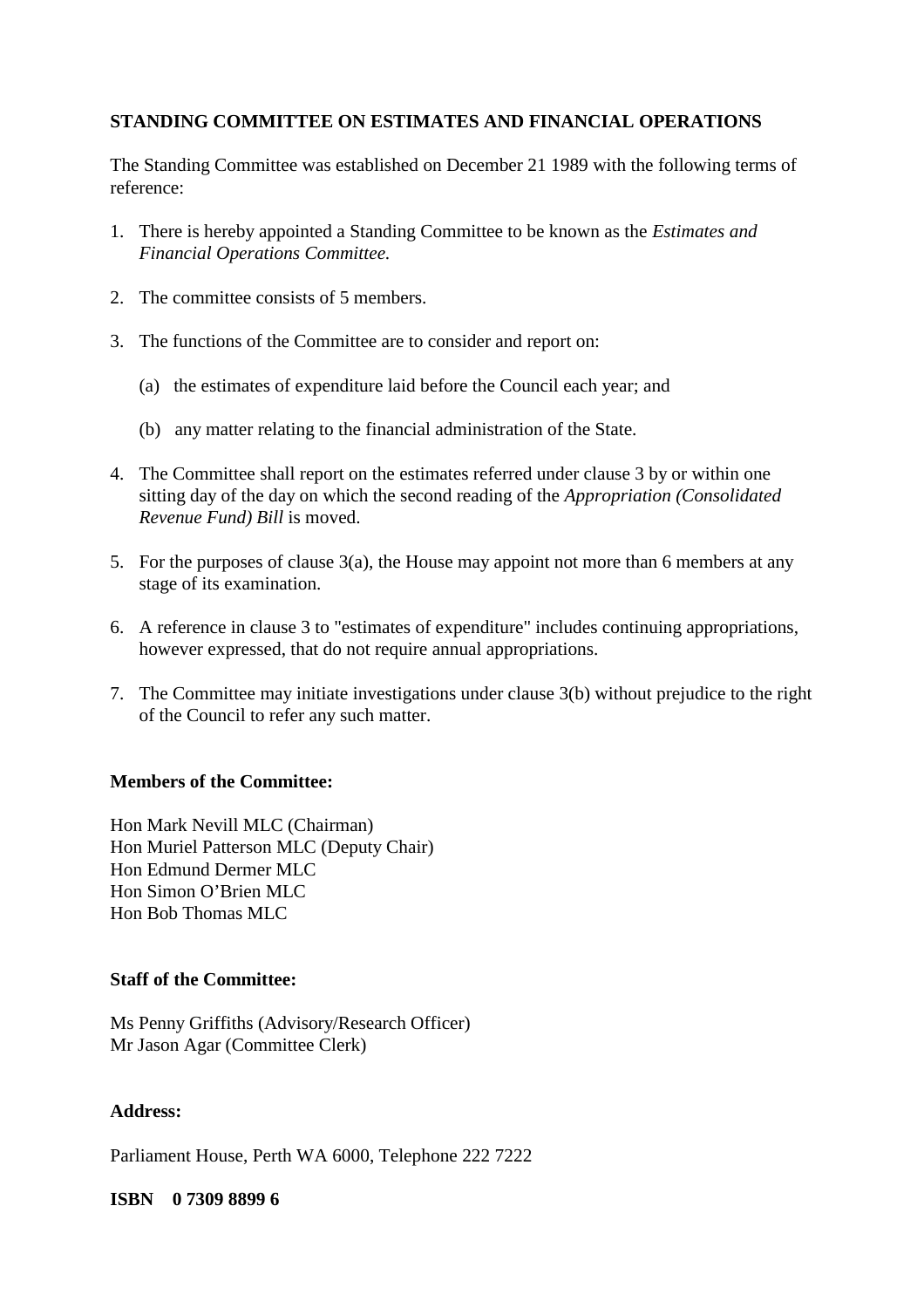#### **STANDING COMMITTEE ON ESTIMATES AND FINANCIAL OPERATIONS**

The Standing Committee was established on December 21 1989 with the following terms of reference:

- 1. There is hereby appointed a Standing Committee to be known as the *Estimates and Financial Operations Committee.*
- 2. The committee consists of 5 members.
- 3. The functions of the Committee are to consider and report on:
	- (a) the estimates of expenditure laid before the Council each year; and
	- (b) any matter relating to the financial administration of the State.
- 4. The Committee shall report on the estimates referred under clause 3 by or within one sitting day of the day on which the second reading of the *Appropriation (Consolidated Revenue Fund) Bill* is moved.
- 5. For the purposes of clause 3(a), the House may appoint not more than 6 members at any stage of its examination.
- 6. A reference in clause 3 to "estimates of expenditure" includes continuing appropriations, however expressed, that do not require annual appropriations.
- 7. The Committee may initiate investigations under clause 3(b) without prejudice to the right of the Council to refer any such matter.

#### **Members of the Committee:**

Hon Mark Nevill MLC (Chairman) Hon Muriel Patterson MLC (Deputy Chair) Hon Edmund Dermer MLC Hon Simon O'Brien MLC Hon Bob Thomas MLC

#### **Staff of the Committee:**

Ms Penny Griffiths (Advisory/Research Officer) Mr Jason Agar (Committee Clerk)

#### **Address:**

Parliament House, Perth WA 6000, Telephone 222 7222

#### **ISBN 0 7309 8899 6**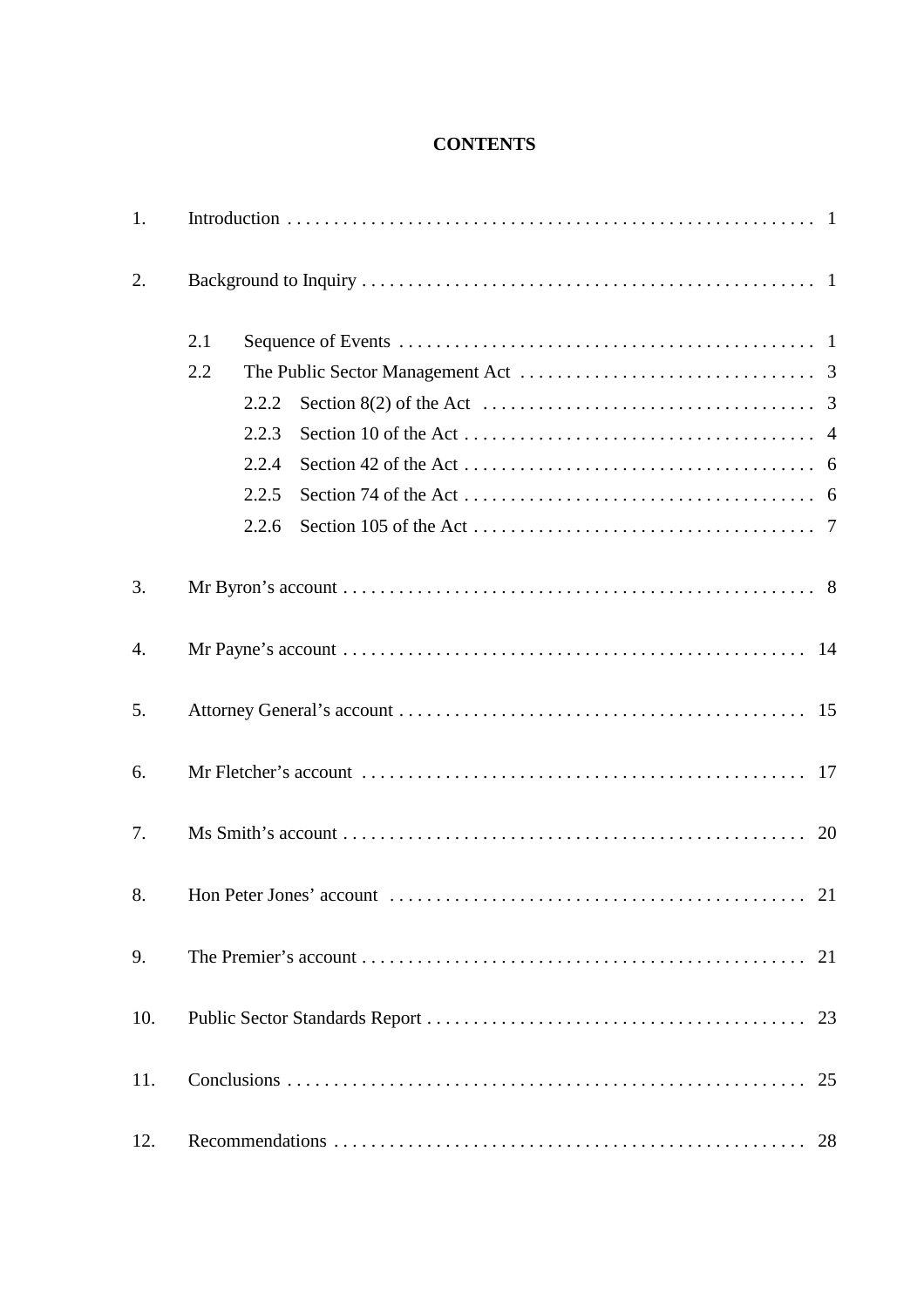### **CONTENTS**

| 1.  |     |       |                                                                                               |  |  |  |  |  |  |  |  |  |  |  |    |
|-----|-----|-------|-----------------------------------------------------------------------------------------------|--|--|--|--|--|--|--|--|--|--|--|----|
| 2.  |     |       |                                                                                               |  |  |  |  |  |  |  |  |  |  |  |    |
|     | 2.1 |       |                                                                                               |  |  |  |  |  |  |  |  |  |  |  |    |
|     | 2.2 |       |                                                                                               |  |  |  |  |  |  |  |  |  |  |  |    |
|     |     | 2.2.2 | Section 8(2) of the Act $\dots \dots \dots \dots \dots \dots \dots \dots \dots \dots \dots$ 3 |  |  |  |  |  |  |  |  |  |  |  |    |
|     |     | 2.2.3 |                                                                                               |  |  |  |  |  |  |  |  |  |  |  |    |
|     |     | 2.2.4 |                                                                                               |  |  |  |  |  |  |  |  |  |  |  |    |
|     |     | 2.2.5 |                                                                                               |  |  |  |  |  |  |  |  |  |  |  |    |
|     |     | 2.2.6 |                                                                                               |  |  |  |  |  |  |  |  |  |  |  |    |
| 3.  |     |       |                                                                                               |  |  |  |  |  |  |  |  |  |  |  |    |
| 4.  |     |       |                                                                                               |  |  |  |  |  |  |  |  |  |  |  |    |
| 5.  |     |       |                                                                                               |  |  |  |  |  |  |  |  |  |  |  |    |
| 6.  |     |       |                                                                                               |  |  |  |  |  |  |  |  |  |  |  |    |
| 7.  |     |       |                                                                                               |  |  |  |  |  |  |  |  |  |  |  |    |
| 8.  |     |       |                                                                                               |  |  |  |  |  |  |  |  |  |  |  |    |
| 9.  |     |       |                                                                                               |  |  |  |  |  |  |  |  |  |  |  | 21 |
| 10. |     |       |                                                                                               |  |  |  |  |  |  |  |  |  |  |  | 23 |
| 11. |     |       |                                                                                               |  |  |  |  |  |  |  |  |  |  |  | 25 |
| 12. |     |       |                                                                                               |  |  |  |  |  |  |  |  |  |  |  | 28 |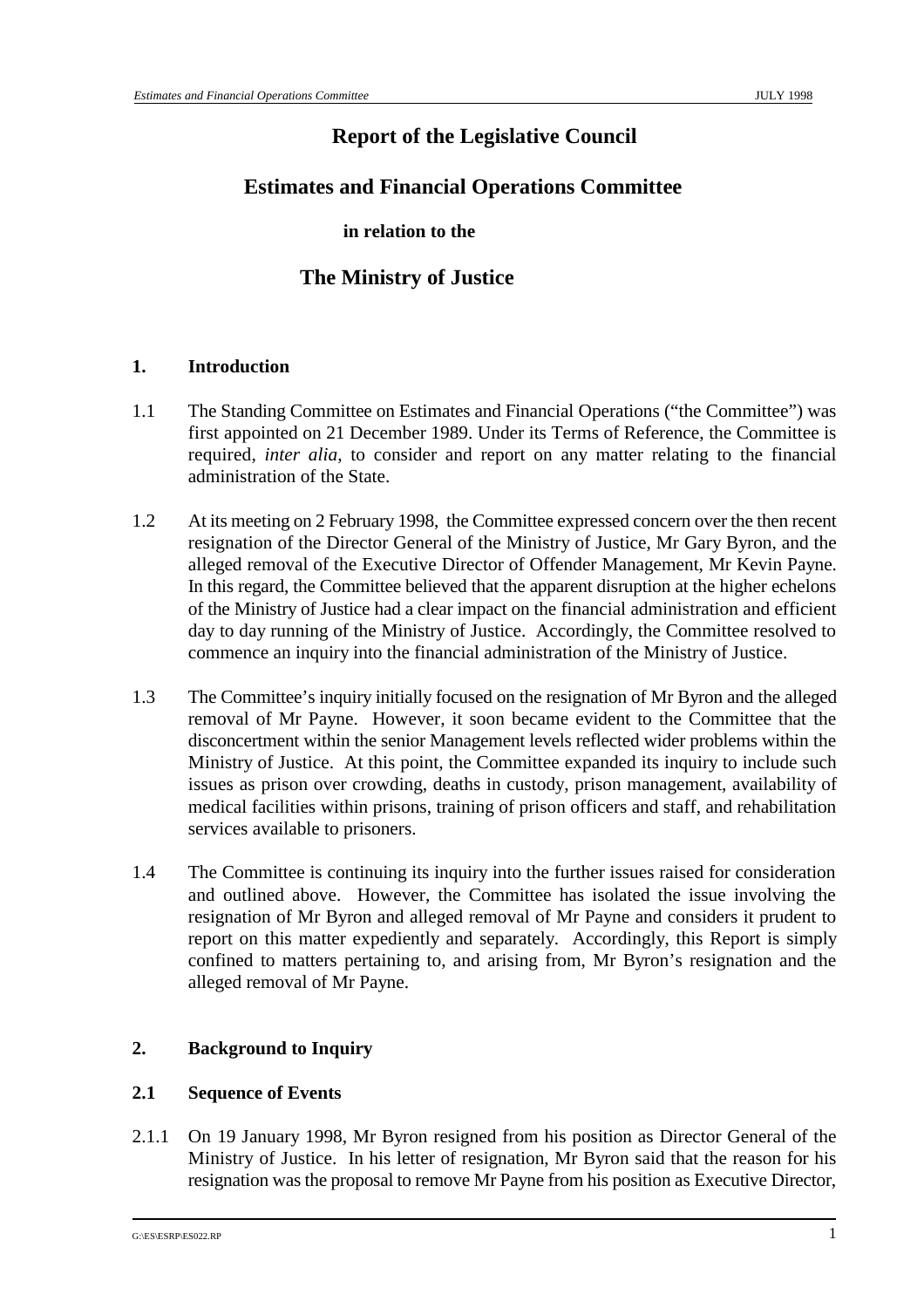## **Report of the Legislative Council**

## **Estimates and Financial Operations Committee**

#### **in relation to the**

## **The Ministry of Justice**

#### **1. Introduction**

- 1.1 The Standing Committee on Estimates and Financial Operations ("the Committee") was first appointed on 21 December 1989. Under its Terms of Reference, the Committee is required, *inter alia*, to consider and report on any matter relating to the financial administration of the State.
- 1.2 At its meeting on 2 February 1998, the Committee expressed concern over the then recent resignation of the Director General of the Ministry of Justice, Mr Gary Byron, and the alleged removal of the Executive Director of Offender Management, Mr Kevin Payne. In this regard, the Committee believed that the apparent disruption at the higher echelons of the Ministry of Justice had a clear impact on the financial administration and efficient day to day running of the Ministry of Justice. Accordingly, the Committee resolved to commence an inquiry into the financial administration of the Ministry of Justice.
- 1.3 The Committee's inquiry initially focused on the resignation of Mr Byron and the alleged removal of Mr Payne. However, it soon became evident to the Committee that the disconcertment within the senior Management levels reflected wider problems within the Ministry of Justice. At this point, the Committee expanded its inquiry to include such issues as prison over crowding, deaths in custody, prison management, availability of medical facilities within prisons, training of prison officers and staff, and rehabilitation services available to prisoners.
- 1.4 The Committee is continuing its inquiry into the further issues raised for consideration and outlined above. However, the Committee has isolated the issue involving the resignation of Mr Byron and alleged removal of Mr Payne and considers it prudent to report on this matter expediently and separately. Accordingly, this Report is simply confined to matters pertaining to, and arising from, Mr Byron's resignation and the alleged removal of Mr Payne.

### **2. Background to Inquiry**

#### **2.1 Sequence of Events**

2.1.1 On 19 January 1998, Mr Byron resigned from his position as Director General of the Ministry of Justice. In his letter of resignation, Mr Byron said that the reason for his resignation was the proposal to remove Mr Payne from his position as Executive Director,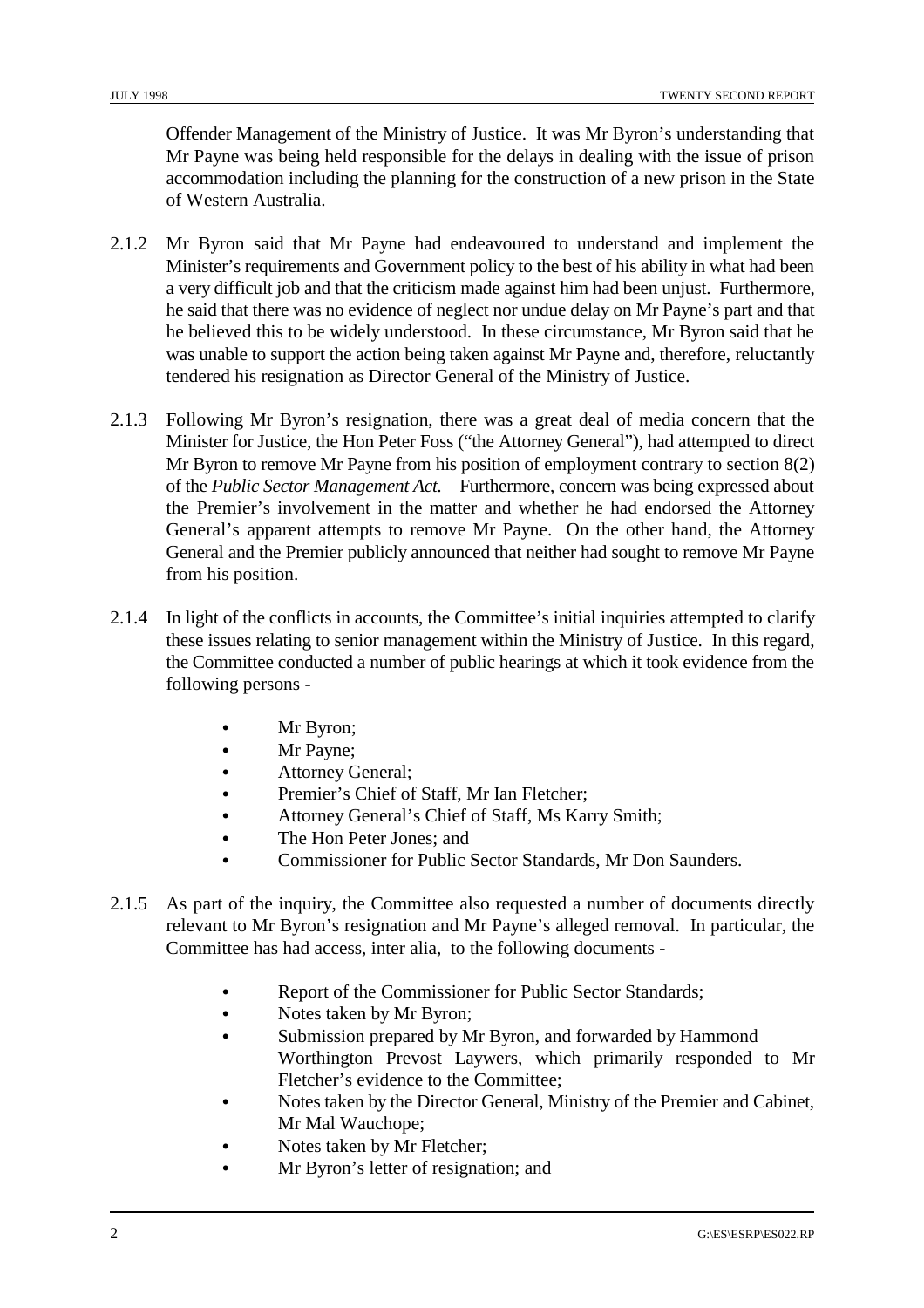Offender Management of the Ministry of Justice. It was Mr Byron's understanding that Mr Payne was being held responsible for the delays in dealing with the issue of prison accommodation including the planning for the construction of a new prison in the State of Western Australia.

- 2.1.2 Mr Byron said that Mr Payne had endeavoured to understand and implement the Minister's requirements and Government policy to the best of his ability in what had been a very difficult job and that the criticism made against him had been unjust. Furthermore, he said that there was no evidence of neglect nor undue delay on Mr Payne's part and that he believed this to be widely understood. In these circumstance, Mr Byron said that he was unable to support the action being taken against Mr Payne and, therefore, reluctantly tendered his resignation as Director General of the Ministry of Justice.
- 2.1.3 Following Mr Byron's resignation, there was a great deal of media concern that the Minister for Justice, the Hon Peter Foss ("the Attorney General"), had attempted to direct Mr Byron to remove Mr Payne from his position of employment contrary to section 8(2) of the *Public Sector Management Act.* Furthermore, concern was being expressed about the Premier's involvement in the matter and whether he had endorsed the Attorney General's apparent attempts to remove Mr Payne. On the other hand, the Attorney General and the Premier publicly announced that neither had sought to remove Mr Payne from his position.
- 2.1.4 In light of the conflicts in accounts, the Committee's initial inquiries attempted to clarify these issues relating to senior management within the Ministry of Justice. In this regard, the Committee conducted a number of public hearings at which it took evidence from the following persons -
	- & Mr Byron;
	- Mr Payne;
	- & Attorney General;
	- & Premier's Chief of Staff, Mr Ian Fletcher;
	- & Attorney General's Chief of Staff, Ms Karry Smith;
	- The Hon Peter Jones: and
	- & Commissioner for Public Sector Standards, Mr Don Saunders.
- 2.1.5 As part of the inquiry, the Committee also requested a number of documents directly relevant to Mr Byron's resignation and Mr Payne's alleged removal. In particular, the Committee has had access, inter alia, to the following documents -
	- & Report of the Commissioner for Public Sector Standards;
	- & Notes taken by Mr Byron;
	- & Submission prepared by Mr Byron, and forwarded by Hammond Worthington Prevost Laywers, which primarily responded to Mr Fletcher's evidence to the Committee;
	- & Notes taken by the Director General, Ministry of the Premier and Cabinet, Mr Mal Wauchope;
	- Notes taken by Mr Fletcher;
	- Mr Byron's letter of resignation; and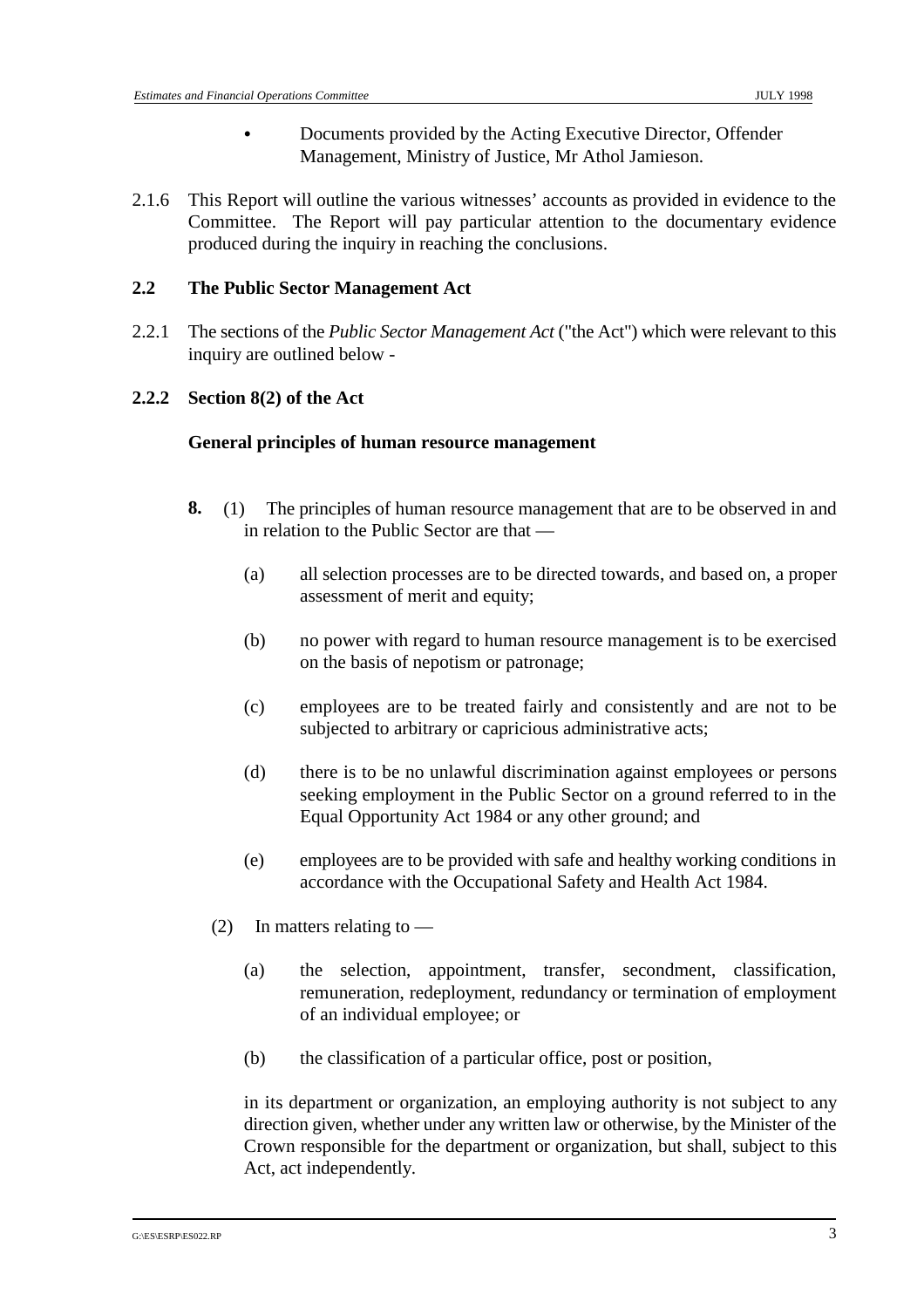- & Documents provided by the Acting Executive Director, Offender Management, Ministry of Justice, Mr Athol Jamieson.
- 2.1.6 This Report will outline the various witnesses' accounts as provided in evidence to the Committee. The Report will pay particular attention to the documentary evidence produced during the inquiry in reaching the conclusions.

#### **2.2 The Public Sector Management Act**

2.2.1 The sections of the *Public Sector Management Act* ("the Act") which were relevant to this inquiry are outlined below -

#### **2.2.2 Section 8(2) of the Act**

#### **General principles of human resource management**

- **8.** (1) The principles of human resource management that are to be observed in and in relation to the Public Sector are that —
	- (a) all selection processes are to be directed towards, and based on, a proper assessment of merit and equity;
	- (b) no power with regard to human resource management is to be exercised on the basis of nepotism or patronage;
	- (c) employees are to be treated fairly and consistently and are not to be subjected to arbitrary or capricious administrative acts;
	- (d) there is to be no unlawful discrimination against employees or persons seeking employment in the Public Sector on a ground referred to in the Equal Opportunity Act 1984 or any other ground; and
	- (e) employees are to be provided with safe and healthy working conditions in accordance with the Occupational Safety and Health Act 1984.
	- (2) In matters relating to  $-$ 
		- (a) the selection, appointment, transfer, secondment, classification, remuneration, redeployment, redundancy or termination of employment of an individual employee; or
		- (b) the classification of a particular office, post or position,

in its department or organization, an employing authority is not subject to any direction given, whether under any written law or otherwise, by the Minister of the Crown responsible for the department or organization, but shall, subject to this Act, act independently.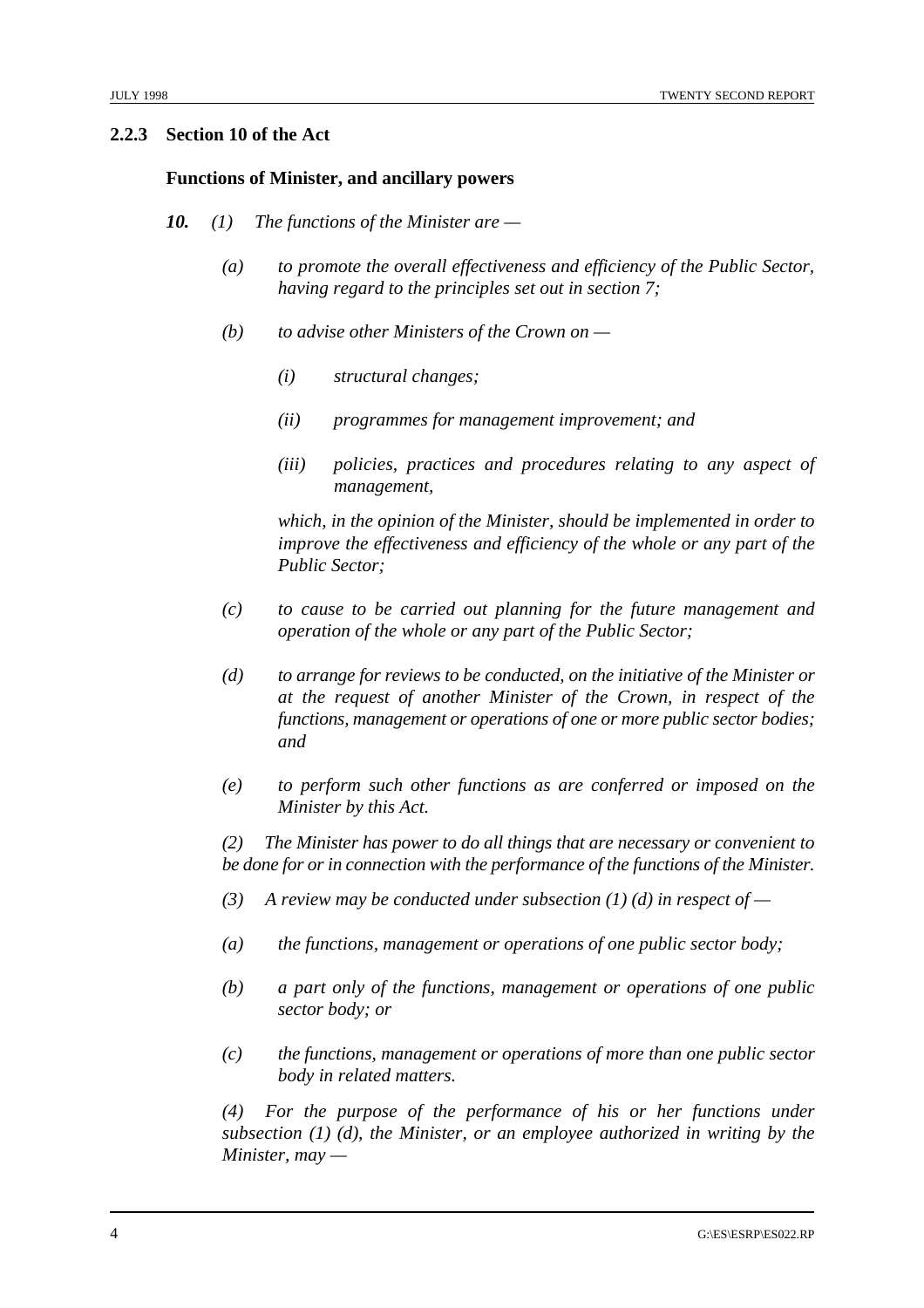#### **2.2.3 Section 10 of the Act**

#### **Functions of Minister, and ancillary powers**

- *10. (1) The functions of the Minister are* 
	- *(a) to promote the overall effectiveness and efficiency of the Public Sector, having regard to the principles set out in section 7;*
	- *(b) to advise other Ministers of the Crown on* 
		- *(i) structural changes;*
		- *(ii) programmes for management improvement; and*
		- *(iii) policies, practices and procedures relating to any aspect of management,*

*which, in the opinion of the Minister, should be implemented in order to improve the effectiveness and efficiency of the whole or any part of the Public Sector;*

- *(c) to cause to be carried out planning for the future management and operation of the whole or any part of the Public Sector;*
- *(d) to arrange for reviews to be conducted, on the initiative of the Minister or at the request of another Minister of the Crown, in respect of the functions, management or operations of one or more public sector bodies; and*
- *(e) to perform such other functions as are conferred or imposed on the Minister by this Act.*

*(2) The Minister has power to do all things that are necessary or convenient to be done for or in connection with the performance of the functions of the Minister.*

- *(3) A review may be conducted under subsection (1) (d) in respect of*
- *(a) the functions, management or operations of one public sector body;*
- *(b) a part only of the functions, management or operations of one public sector body; or*
- *(c) the functions, management or operations of more than one public sector body in related matters.*

*(4) For the purpose of the performance of his or her functions under subsection (1) (d), the Minister, or an employee authorized in writing by the Minister, may —*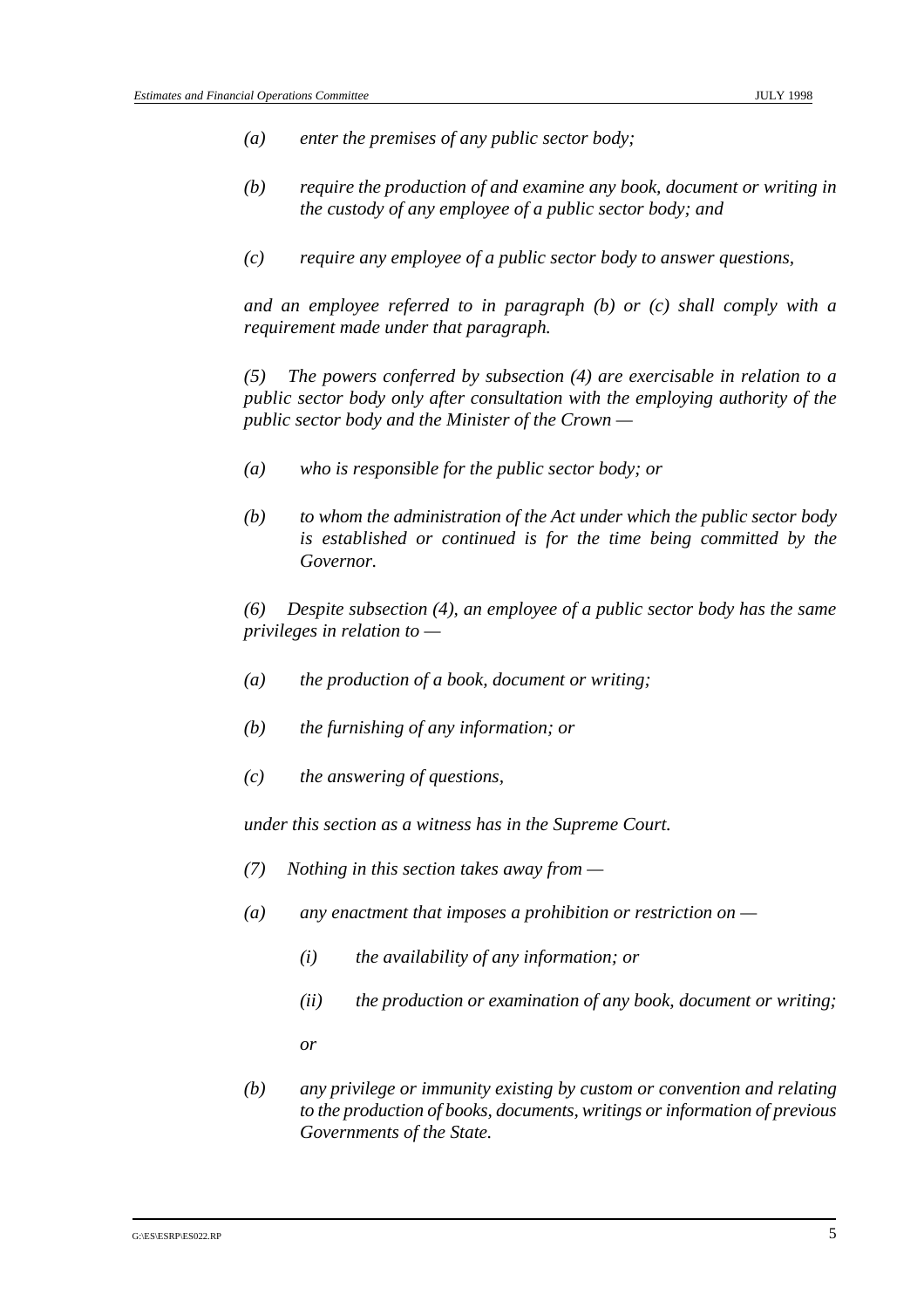- *(a) enter the premises of any public sector body;*
- *(b) require the production of and examine any book, document or writing in the custody of any employee of a public sector body; and*
- *(c) require any employee of a public sector body to answer questions,*

*and an employee referred to in paragraph (b) or (c) shall comply with a requirement made under that paragraph.*

*(5) The powers conferred by subsection (4) are exercisable in relation to a public sector body only after consultation with the employing authority of the public sector body and the Minister of the Crown —* 

- *(a) who is responsible for the public sector body; or*
- *(b) to whom the administration of the Act under which the public sector body is established or continued is for the time being committed by the Governor.*

*(6) Despite subsection (4), an employee of a public sector body has the same privileges in relation to —* 

- *(a) the production of a book, document or writing;*
- *(b) the furnishing of any information; or*
- *(c) the answering of questions,*

*under this section as a witness has in the Supreme Court.*

- *(7) Nothing in this section takes away from*
- *(a) any enactment that imposes a prohibition or restriction on* 
	- *(i) the availability of any information; or*
	- *(ii) the production or examination of any book, document or writing;*

*or*

*(b) any privilege or immunity existing by custom or convention and relating to the production of books, documents, writings or information of previous Governments of the State.*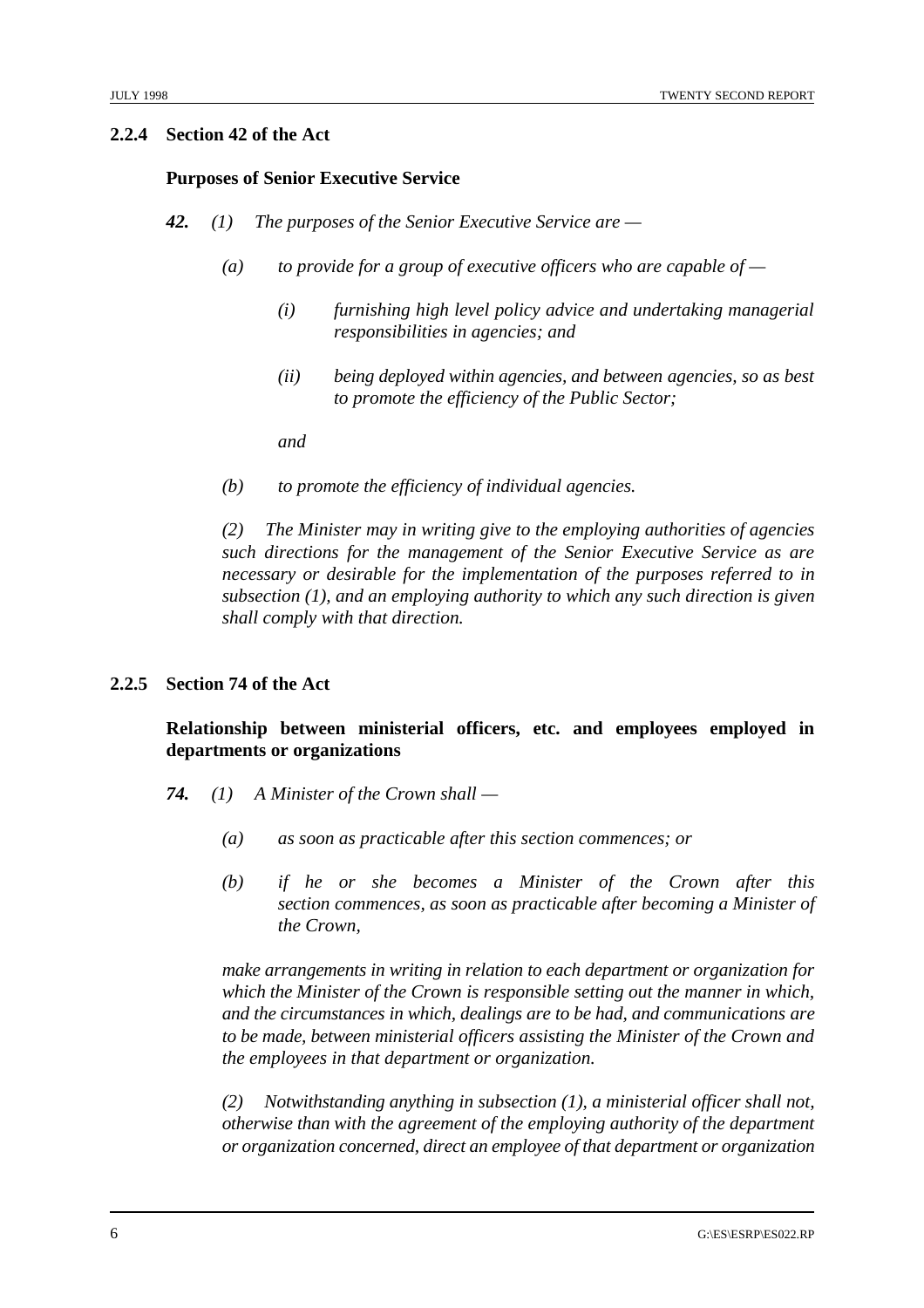#### **2.2.4 Section 42 of the Act**

#### **Purposes of Senior Executive Service**

- *42. (1) The purposes of the Senior Executive Service are* 
	- *(a) to provide for a group of executive officers who are capable of* 
		- *(i) furnishing high level policy advice and undertaking managerial responsibilities in agencies; and*
		- *(ii) being deployed within agencies, and between agencies, so as best to promote the efficiency of the Public Sector;*

*and*

*(b) to promote the efficiency of individual agencies.*

*(2) The Minister may in writing give to the employing authorities of agencies such directions for the management of the Senior Executive Service as are necessary or desirable for the implementation of the purposes referred to in subsection (1), and an employing authority to which any such direction is given shall comply with that direction.*

#### **2.2.5 Section 74 of the Act**

#### **Relationship between ministerial officers, etc. and employees employed in departments or organizations**

- *74. (1) A Minister of the Crown shall* 
	- *(a) as soon as practicable after this section commences; or*
	- *(b) if he or she becomes a Minister of the Crown after this section commences, as soon as practicable after becoming a Minister of the Crown,*

*make arrangements in writing in relation to each department or organization for which the Minister of the Crown is responsible setting out the manner in which, and the circumstances in which, dealings are to be had, and communications are to be made, between ministerial officers assisting the Minister of the Crown and the employees in that department or organization.*

*(2) Notwithstanding anything in subsection (1), a ministerial officer shall not, otherwise than with the agreement of the employing authority of the department or organization concerned, direct an employee of that department or organization*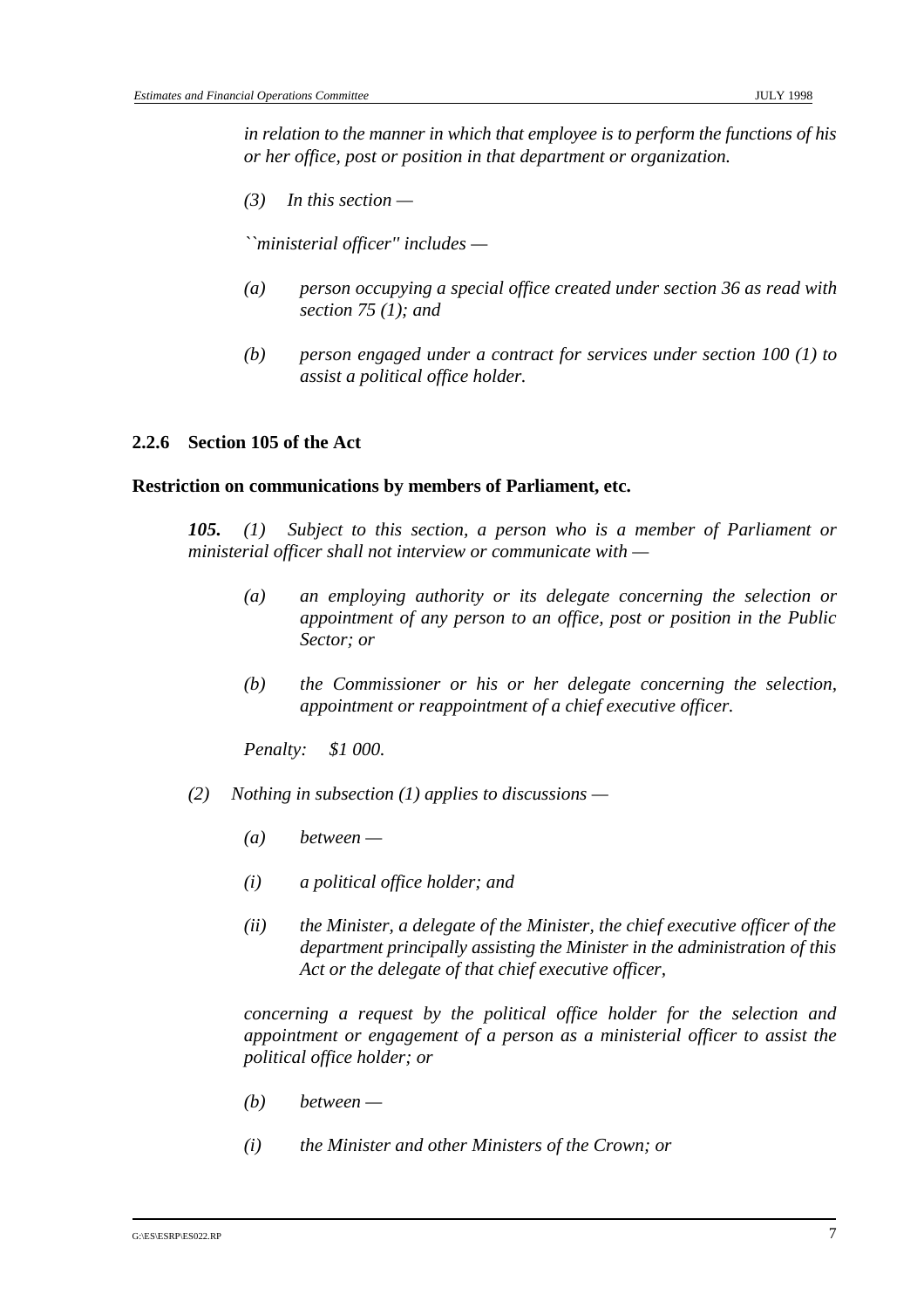*in relation to the manner in which that employee is to perform the functions of his or her office, post or position in that department or organization.*

*(3) In this section —* 

*``ministerial officer'' includes —* 

- *(a) person occupying a special office created under section 36 as read with section 75 (1); and*
- *(b) person engaged under a contract for services under section 100 (1) to assist a political office holder.*

#### **2.2.6 Section 105 of the Act**

#### **Restriction on communications by members of Parliament, etc.**

*105. (1) Subject to this section, a person who is a member of Parliament or ministerial officer shall not interview or communicate with —* 

- *(a) an employing authority or its delegate concerning the selection or appointment of any person to an office, post or position in the Public Sector; or*
- *(b) the Commissioner or his or her delegate concerning the selection, appointment or reappointment of a chief executive officer.*

*Penalty: \$1 000.*

- *(2) Nothing in subsection (1) applies to discussions* 
	- *(a) between*
	- *(i) a political office holder; and*
	- *(ii) the Minister, a delegate of the Minister, the chief executive officer of the department principally assisting the Minister in the administration of this Act or the delegate of that chief executive officer,*

*concerning a request by the political office holder for the selection and appointment or engagement of a person as a ministerial officer to assist the political office holder; or*

- *(b) between*
- *(i) the Minister and other Ministers of the Crown; or*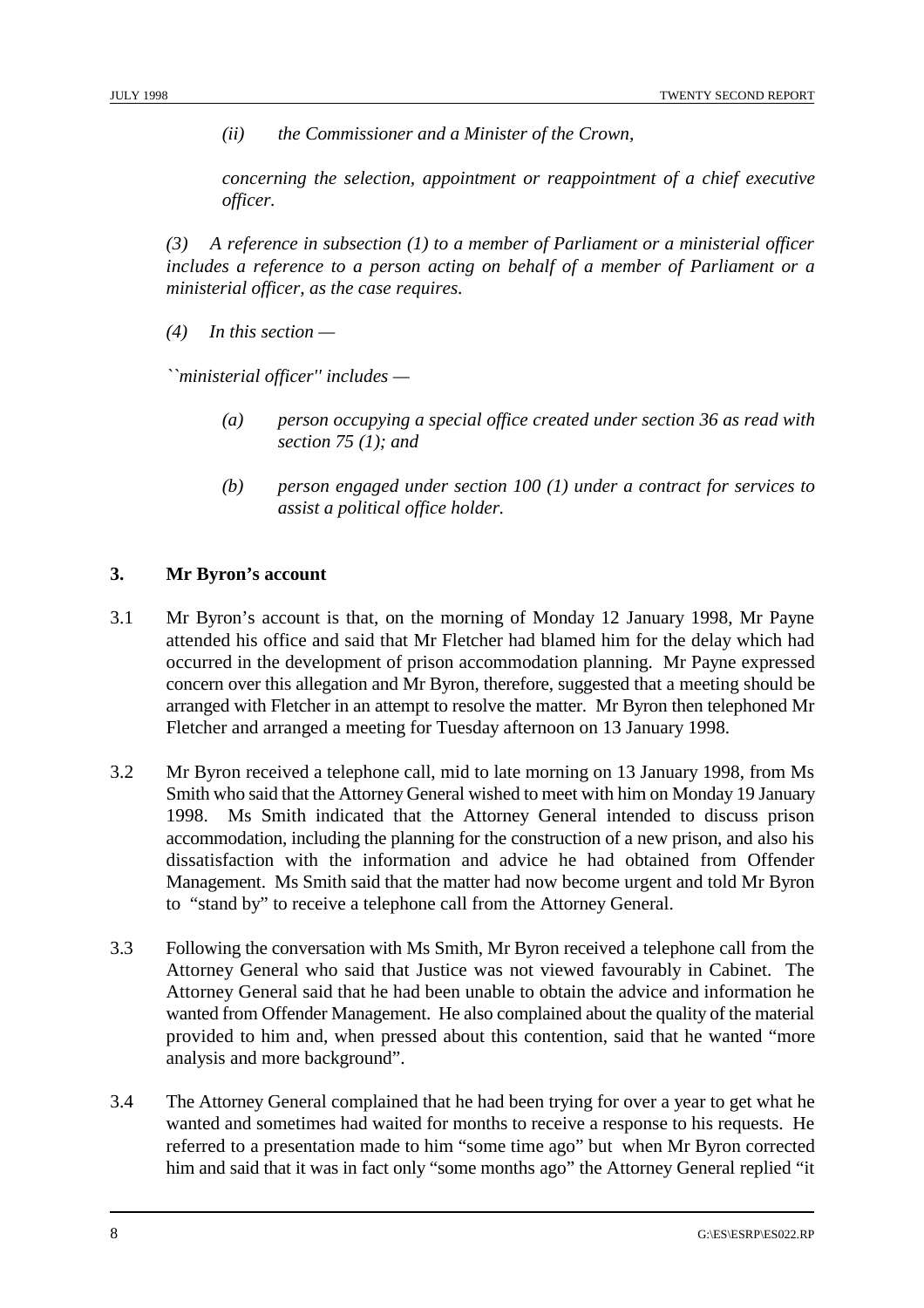*(ii) the Commissioner and a Minister of the Crown,*

*concerning the selection, appointment or reappointment of a chief executive officer.*

*(3) A reference in subsection (1) to a member of Parliament or a ministerial officer includes a reference to a person acting on behalf of a member of Parliament or a ministerial officer, as the case requires.*

*(4) In this section —* 

*``ministerial officer'' includes —* 

- *(a) person occupying a special office created under section 36 as read with section 75 (1); and*
- *(b) person engaged under section 100 (1) under a contract for services to assist a political office holder.*

#### **3. Mr Byron's account**

- 3.1 Mr Byron's account is that, on the morning of Monday 12 January 1998, Mr Payne attended his office and said that Mr Fletcher had blamed him for the delay which had occurred in the development of prison accommodation planning. Mr Payne expressed concern over this allegation and Mr Byron, therefore, suggested that a meeting should be arranged with Fletcher in an attempt to resolve the matter. Mr Byron then telephoned Mr Fletcher and arranged a meeting for Tuesday afternoon on 13 January 1998.
- 3.2 Mr Byron received a telephone call, mid to late morning on 13 January 1998, from Ms Smith who said that the Attorney General wished to meet with him on Monday 19 January 1998. Ms Smith indicated that the Attorney General intended to discuss prison accommodation, including the planning for the construction of a new prison, and also his dissatisfaction with the information and advice he had obtained from Offender Management. Ms Smith said that the matter had now become urgent and told Mr Byron to "stand by" to receive a telephone call from the Attorney General.
- 3.3 Following the conversation with Ms Smith, Mr Byron received a telephone call from the Attorney General who said that Justice was not viewed favourably in Cabinet. The Attorney General said that he had been unable to obtain the advice and information he wanted from Offender Management. He also complained about the quality of the material provided to him and, when pressed about this contention, said that he wanted "more analysis and more background".
- 3.4 The Attorney General complained that he had been trying for over a year to get what he wanted and sometimes had waited for months to receive a response to his requests. He referred to a presentation made to him "some time ago" but when Mr Byron corrected him and said that it was in fact only "some months ago" the Attorney General replied "it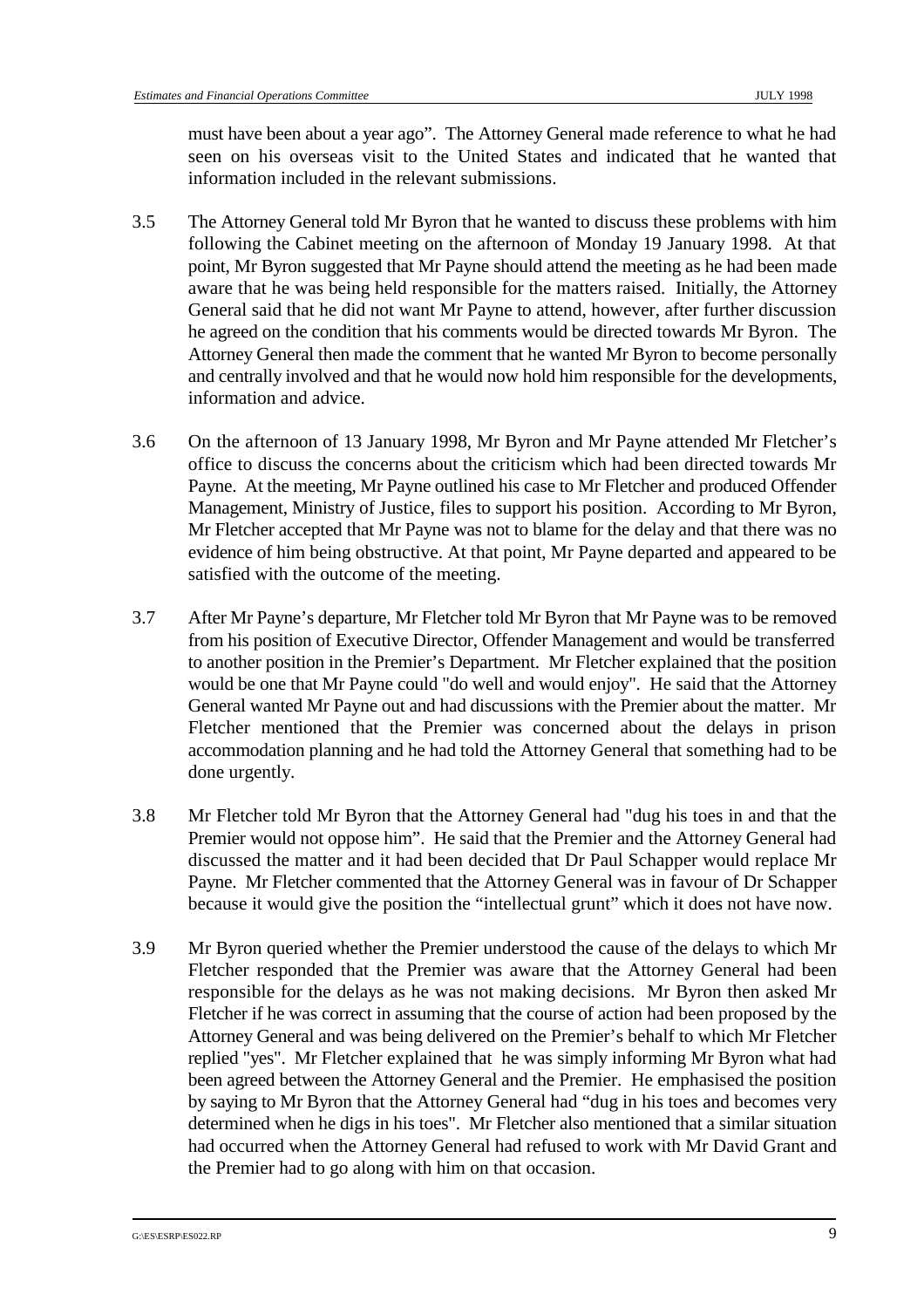must have been about a year ago". The Attorney General made reference to what he had seen on his overseas visit to the United States and indicated that he wanted that information included in the relevant submissions.

- 3.5 The Attorney General told Mr Byron that he wanted to discuss these problems with him following the Cabinet meeting on the afternoon of Monday 19 January 1998. At that point, Mr Byron suggested that Mr Payne should attend the meeting as he had been made aware that he was being held responsible for the matters raised. Initially, the Attorney General said that he did not want Mr Payne to attend, however, after further discussion he agreed on the condition that his comments would be directed towards Mr Byron. The Attorney General then made the comment that he wanted Mr Byron to become personally and centrally involved and that he would now hold him responsible for the developments, information and advice.
- 3.6 On the afternoon of 13 January 1998, Mr Byron and Mr Payne attended Mr Fletcher's office to discuss the concerns about the criticism which had been directed towards Mr Payne. At the meeting, Mr Payne outlined his case to Mr Fletcher and produced Offender Management, Ministry of Justice, files to support his position. According to Mr Byron, Mr Fletcher accepted that Mr Payne was not to blame for the delay and that there was no evidence of him being obstructive. At that point, Mr Payne departed and appeared to be satisfied with the outcome of the meeting.
- 3.7 After Mr Payne's departure, Mr Fletcher told Mr Byron that Mr Payne was to be removed from his position of Executive Director, Offender Management and would be transferred to another position in the Premier's Department. Mr Fletcher explained that the position would be one that Mr Payne could "do well and would enjoy". He said that the Attorney General wanted Mr Payne out and had discussions with the Premier about the matter. Mr Fletcher mentioned that the Premier was concerned about the delays in prison accommodation planning and he had told the Attorney General that something had to be done urgently.
- 3.8 Mr Fletcher told Mr Byron that the Attorney General had "dug his toes in and that the Premier would not oppose him". He said that the Premier and the Attorney General had discussed the matter and it had been decided that Dr Paul Schapper would replace Mr Payne. Mr Fletcher commented that the Attorney General was in favour of Dr Schapper because it would give the position the "intellectual grunt" which it does not have now.
- 3.9 Mr Byron queried whether the Premier understood the cause of the delays to which Mr Fletcher responded that the Premier was aware that the Attorney General had been responsible for the delays as he was not making decisions. Mr Byron then asked Mr Fletcher if he was correct in assuming that the course of action had been proposed by the Attorney General and was being delivered on the Premier's behalf to which Mr Fletcher replied "yes". Mr Fletcher explained that he was simply informing Mr Byron what had been agreed between the Attorney General and the Premier. He emphasised the position by saying to Mr Byron that the Attorney General had "dug in his toes and becomes very determined when he digs in his toes". Mr Fletcher also mentioned that a similar situation had occurred when the Attorney General had refused to work with Mr David Grant and the Premier had to go along with him on that occasion.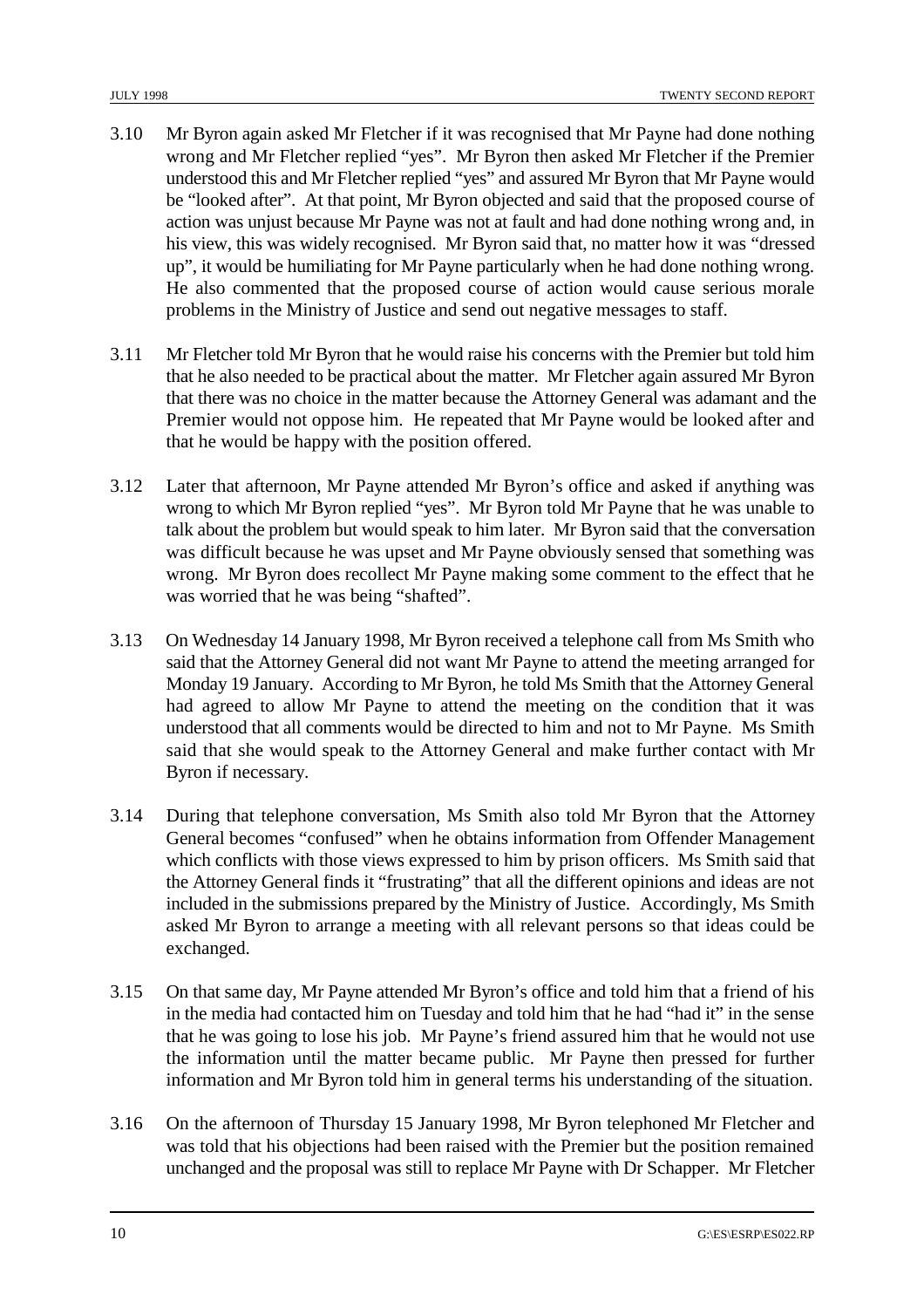- 3.10 Mr Byron again asked Mr Fletcher if it was recognised that Mr Payne had done nothing wrong and Mr Fletcher replied "yes". Mr Byron then asked Mr Fletcher if the Premier understood this and Mr Fletcher replied "yes" and assured Mr Byron that Mr Payne would be "looked after". At that point, Mr Byron objected and said that the proposed course of action was unjust because Mr Payne was not at fault and had done nothing wrong and, in his view, this was widely recognised. Mr Byron said that, no matter how it was "dressed up", it would be humiliating for Mr Payne particularly when he had done nothing wrong. He also commented that the proposed course of action would cause serious morale problems in the Ministry of Justice and send out negative messages to staff.
- 3.11 Mr Fletcher told Mr Byron that he would raise his concerns with the Premier but told him that he also needed to be practical about the matter. Mr Fletcher again assured Mr Byron that there was no choice in the matter because the Attorney General was adamant and the Premier would not oppose him. He repeated that Mr Payne would be looked after and that he would be happy with the position offered.
- 3.12 Later that afternoon, Mr Payne attended Mr Byron's office and asked if anything was wrong to which Mr Byron replied "yes". Mr Byron told Mr Payne that he was unable to talk about the problem but would speak to him later. Mr Byron said that the conversation was difficult because he was upset and Mr Payne obviously sensed that something was wrong. Mr Byron does recollect Mr Payne making some comment to the effect that he was worried that he was being "shafted".
- 3.13 On Wednesday 14 January 1998, Mr Byron received a telephone call from Ms Smith who said that the Attorney General did not want Mr Payne to attend the meeting arranged for Monday 19 January. According to Mr Byron, he told Ms Smith that the Attorney General had agreed to allow Mr Payne to attend the meeting on the condition that it was understood that all comments would be directed to him and not to Mr Payne. Ms Smith said that she would speak to the Attorney General and make further contact with Mr Byron if necessary.
- 3.14 During that telephone conversation, Ms Smith also told Mr Byron that the Attorney General becomes "confused" when he obtains information from Offender Management which conflicts with those views expressed to him by prison officers. Ms Smith said that the Attorney General finds it "frustrating" that all the different opinions and ideas are not included in the submissions prepared by the Ministry of Justice. Accordingly, Ms Smith asked Mr Byron to arrange a meeting with all relevant persons so that ideas could be exchanged.
- 3.15 On that same day, Mr Payne attended Mr Byron's office and told him that a friend of his in the media had contacted him on Tuesday and told him that he had "had it" in the sense that he was going to lose his job. Mr Payne's friend assured him that he would not use the information until the matter became public. Mr Payne then pressed for further information and Mr Byron told him in general terms his understanding of the situation.
- 3.16 On the afternoon of Thursday 15 January 1998, Mr Byron telephoned Mr Fletcher and was told that his objections had been raised with the Premier but the position remained unchanged and the proposal was still to replace Mr Payne with Dr Schapper. Mr Fletcher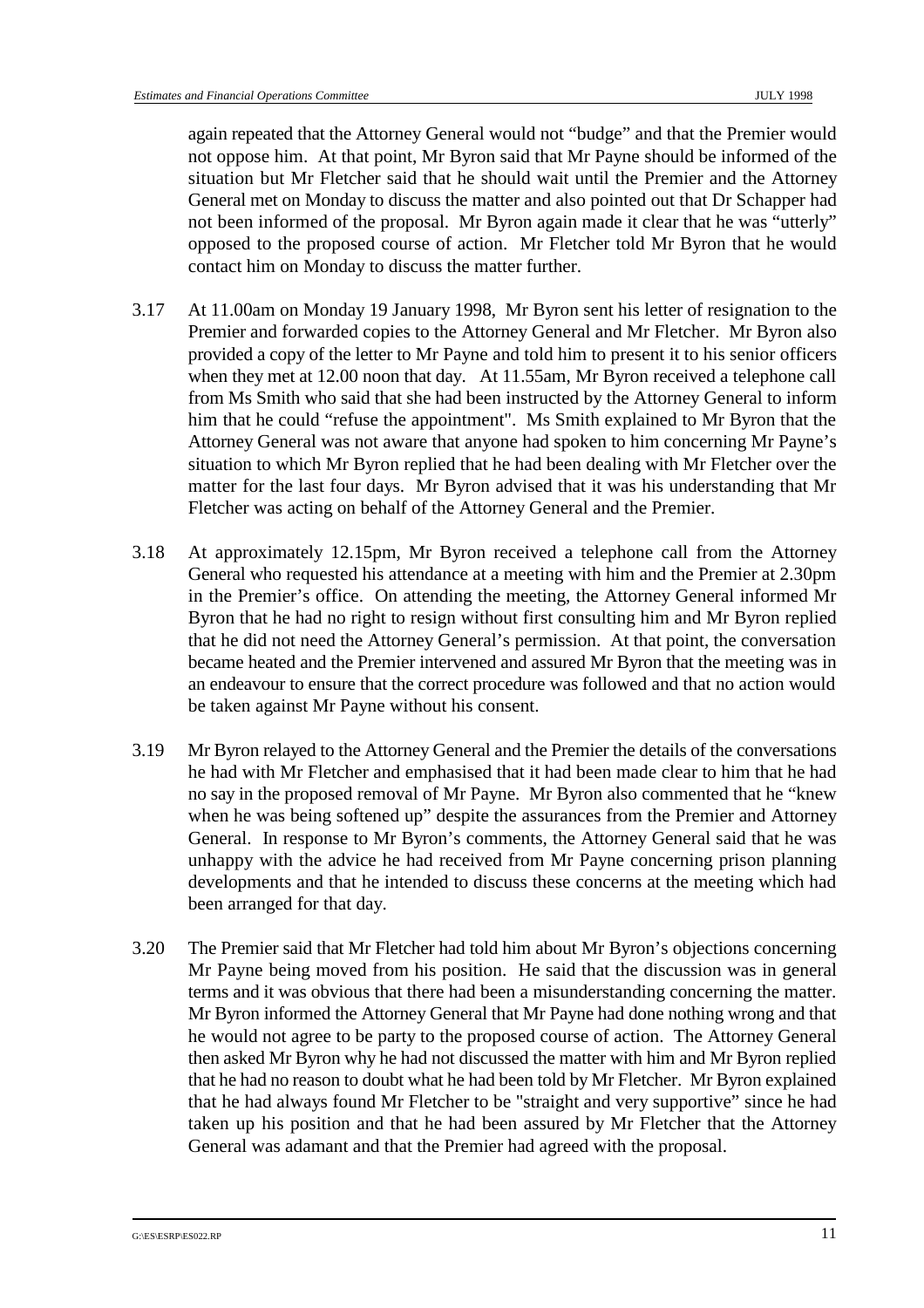again repeated that the Attorney General would not "budge" and that the Premier would not oppose him. At that point, Mr Byron said that Mr Payne should be informed of the situation but Mr Fletcher said that he should wait until the Premier and the Attorney General met on Monday to discuss the matter and also pointed out that Dr Schapper had not been informed of the proposal. Mr Byron again made it clear that he was "utterly" opposed to the proposed course of action. Mr Fletcher told Mr Byron that he would contact him on Monday to discuss the matter further.

- 3.17 At 11.00am on Monday 19 January 1998, Mr Byron sent his letter of resignation to the Premier and forwarded copies to the Attorney General and Mr Fletcher. Mr Byron also provided a copy of the letter to Mr Payne and told him to present it to his senior officers when they met at 12.00 noon that day. At 11.55am, Mr Byron received a telephone call from Ms Smith who said that she had been instructed by the Attorney General to inform him that he could "refuse the appointment". Ms Smith explained to Mr Byron that the Attorney General was not aware that anyone had spoken to him concerning Mr Payne's situation to which Mr Byron replied that he had been dealing with Mr Fletcher over the matter for the last four days. Mr Byron advised that it was his understanding that Mr Fletcher was acting on behalf of the Attorney General and the Premier.
- 3.18 At approximately 12.15pm, Mr Byron received a telephone call from the Attorney General who requested his attendance at a meeting with him and the Premier at 2.30pm in the Premier's office. On attending the meeting, the Attorney General informed Mr Byron that he had no right to resign without first consulting him and Mr Byron replied that he did not need the Attorney General's permission. At that point, the conversation became heated and the Premier intervened and assured Mr Byron that the meeting was in an endeavour to ensure that the correct procedure was followed and that no action would be taken against Mr Payne without his consent.
- 3.19 Mr Byron relayed to the Attorney General and the Premier the details of the conversations he had with Mr Fletcher and emphasised that it had been made clear to him that he had no say in the proposed removal of Mr Payne. Mr Byron also commented that he "knew when he was being softened up" despite the assurances from the Premier and Attorney General. In response to Mr Byron's comments, the Attorney General said that he was unhappy with the advice he had received from Mr Payne concerning prison planning developments and that he intended to discuss these concerns at the meeting which had been arranged for that day.
- 3.20 The Premier said that Mr Fletcher had told him about Mr Byron's objections concerning Mr Payne being moved from his position. He said that the discussion was in general terms and it was obvious that there had been a misunderstanding concerning the matter. Mr Byron informed the Attorney General that Mr Payne had done nothing wrong and that he would not agree to be party to the proposed course of action. The Attorney General then asked Mr Byron why he had not discussed the matter with him and Mr Byron replied that he had no reason to doubt what he had been told by Mr Fletcher. Mr Byron explained that he had always found Mr Fletcher to be "straight and very supportive" since he had taken up his position and that he had been assured by Mr Fletcher that the Attorney General was adamant and that the Premier had agreed with the proposal.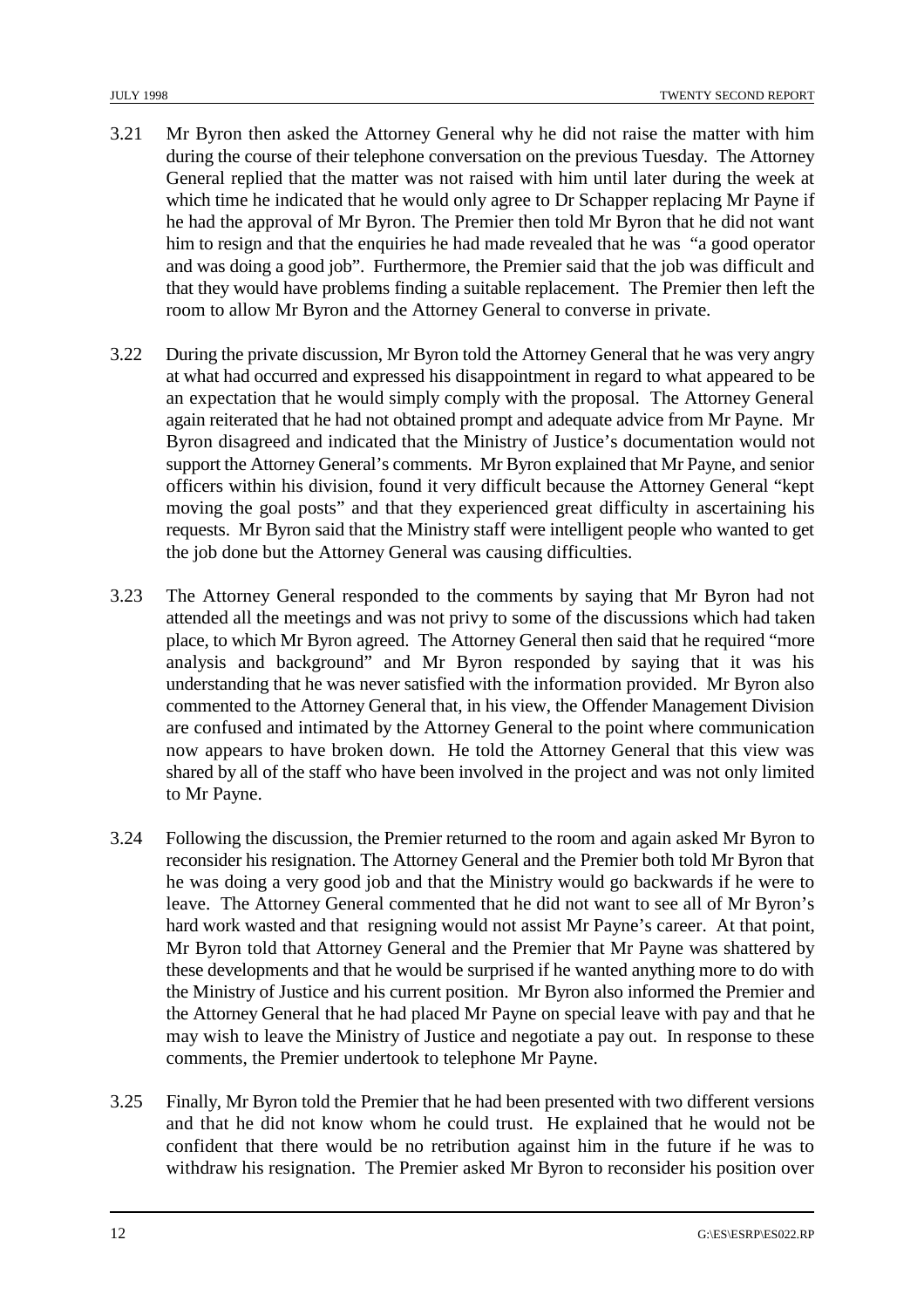- 3.21 Mr Byron then asked the Attorney General why he did not raise the matter with him during the course of their telephone conversation on the previous Tuesday. The Attorney General replied that the matter was not raised with him until later during the week at which time he indicated that he would only agree to Dr Schapper replacing Mr Payne if he had the approval of Mr Byron. The Premier then told Mr Byron that he did not want him to resign and that the enquiries he had made revealed that he was "a good operator and was doing a good job". Furthermore, the Premier said that the job was difficult and that they would have problems finding a suitable replacement. The Premier then left the room to allow Mr Byron and the Attorney General to converse in private.
- 3.22 During the private discussion, Mr Byron told the Attorney General that he was very angry at what had occurred and expressed his disappointment in regard to what appeared to be an expectation that he would simply comply with the proposal. The Attorney General again reiterated that he had not obtained prompt and adequate advice from Mr Payne. Mr Byron disagreed and indicated that the Ministry of Justice's documentation would not support the Attorney General's comments. Mr Byron explained that Mr Payne, and senior officers within his division, found it very difficult because the Attorney General "kept moving the goal posts" and that they experienced great difficulty in ascertaining his requests. Mr Byron said that the Ministry staff were intelligent people who wanted to get the job done but the Attorney General was causing difficulties.
- 3.23 The Attorney General responded to the comments by saying that Mr Byron had not attended all the meetings and was not privy to some of the discussions which had taken place, to which Mr Byron agreed. The Attorney General then said that he required "more analysis and background" and Mr Byron responded by saying that it was his understanding that he was never satisfied with the information provided. Mr Byron also commented to the Attorney General that, in his view, the Offender Management Division are confused and intimated by the Attorney General to the point where communication now appears to have broken down. He told the Attorney General that this view was shared by all of the staff who have been involved in the project and was not only limited to Mr Payne.
- 3.24 Following the discussion, the Premier returned to the room and again asked Mr Byron to reconsider his resignation. The Attorney General and the Premier both told Mr Byron that he was doing a very good job and that the Ministry would go backwards if he were to leave. The Attorney General commented that he did not want to see all of Mr Byron's hard work wasted and that resigning would not assist Mr Payne's career. At that point, Mr Byron told that Attorney General and the Premier that Mr Payne was shattered by these developments and that he would be surprised if he wanted anything more to do with the Ministry of Justice and his current position. Mr Byron also informed the Premier and the Attorney General that he had placed Mr Payne on special leave with pay and that he may wish to leave the Ministry of Justice and negotiate a pay out. In response to these comments, the Premier undertook to telephone Mr Payne.
- 3.25 Finally, Mr Byron told the Premier that he had been presented with two different versions and that he did not know whom he could trust. He explained that he would not be confident that there would be no retribution against him in the future if he was to withdraw his resignation. The Premier asked Mr Byron to reconsider his position over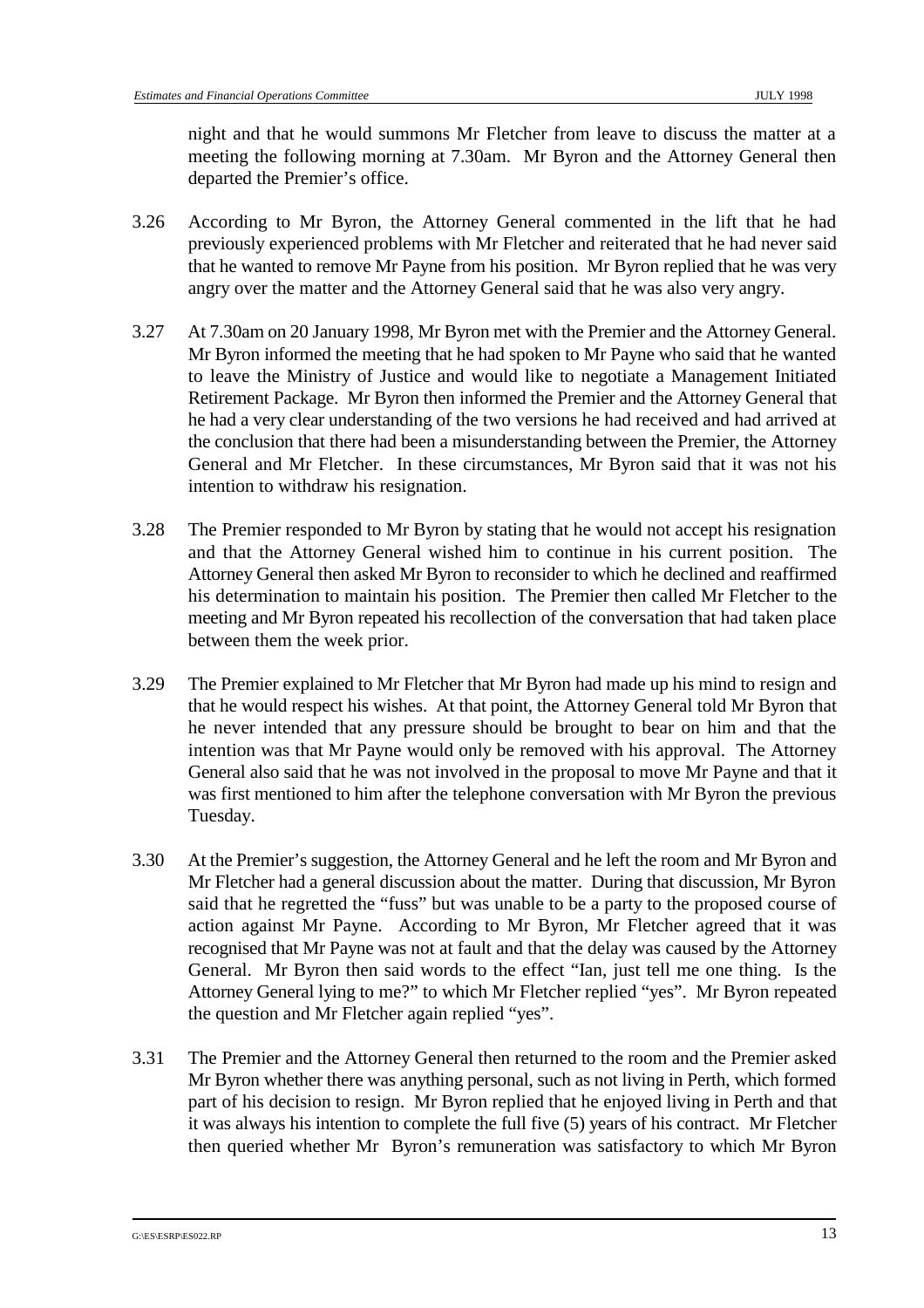night and that he would summons Mr Fletcher from leave to discuss the matter at a meeting the following morning at 7.30am. Mr Byron and the Attorney General then departed the Premier's office.

- 3.26 According to Mr Byron, the Attorney General commented in the lift that he had previously experienced problems with Mr Fletcher and reiterated that he had never said that he wanted to remove Mr Payne from his position. Mr Byron replied that he was very angry over the matter and the Attorney General said that he was also very angry.
- 3.27 At 7.30am on 20 January 1998, Mr Byron met with the Premier and the Attorney General. Mr Byron informed the meeting that he had spoken to Mr Payne who said that he wanted to leave the Ministry of Justice and would like to negotiate a Management Initiated Retirement Package. Mr Byron then informed the Premier and the Attorney General that he had a very clear understanding of the two versions he had received and had arrived at the conclusion that there had been a misunderstanding between the Premier, the Attorney General and Mr Fletcher. In these circumstances, Mr Byron said that it was not his intention to withdraw his resignation.
- 3.28 The Premier responded to Mr Byron by stating that he would not accept his resignation and that the Attorney General wished him to continue in his current position. The Attorney General then asked Mr Byron to reconsider to which he declined and reaffirmed his determination to maintain his position. The Premier then called Mr Fletcher to the meeting and Mr Byron repeated his recollection of the conversation that had taken place between them the week prior.
- 3.29 The Premier explained to Mr Fletcher that Mr Byron had made up his mind to resign and that he would respect his wishes. At that point, the Attorney General told Mr Byron that he never intended that any pressure should be brought to bear on him and that the intention was that Mr Payne would only be removed with his approval. The Attorney General also said that he was not involved in the proposal to move Mr Payne and that it was first mentioned to him after the telephone conversation with Mr Byron the previous Tuesday.
- 3.30 At the Premier's suggestion, the Attorney General and he left the room and Mr Byron and Mr Fletcher had a general discussion about the matter. During that discussion, Mr Byron said that he regretted the "fuss" but was unable to be a party to the proposed course of action against Mr Payne. According to Mr Byron, Mr Fletcher agreed that it was recognised that Mr Payne was not at fault and that the delay was caused by the Attorney General. Mr Byron then said words to the effect "Ian, just tell me one thing. Is the Attorney General lying to me?" to which Mr Fletcher replied "yes". Mr Byron repeated the question and Mr Fletcher again replied "yes".
- 3.31 The Premier and the Attorney General then returned to the room and the Premier asked Mr Byron whether there was anything personal, such as not living in Perth, which formed part of his decision to resign. Mr Byron replied that he enjoyed living in Perth and that it was always his intention to complete the full five (5) years of his contract. Mr Fletcher then queried whether Mr Byron's remuneration was satisfactory to which Mr Byron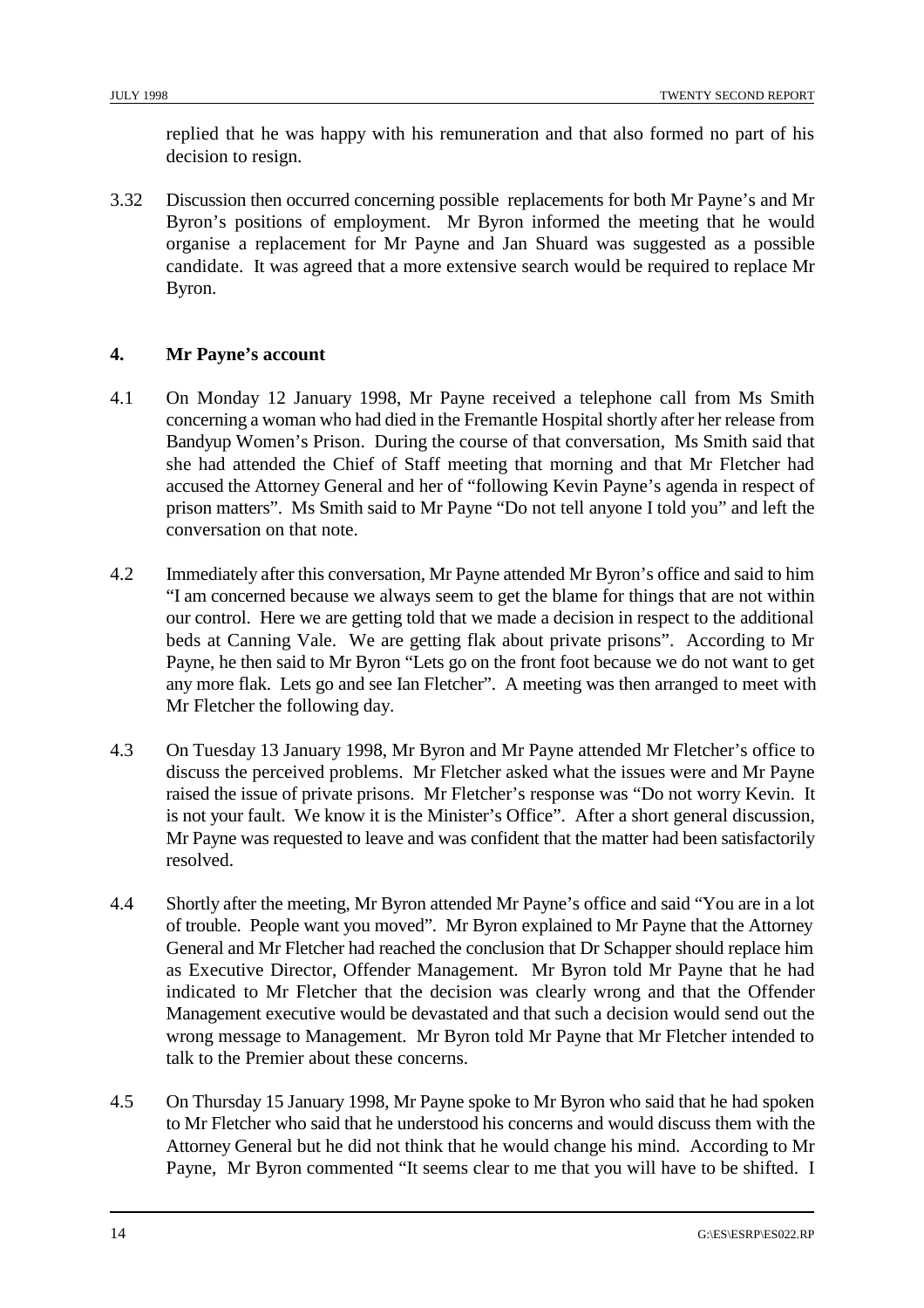replied that he was happy with his remuneration and that also formed no part of his decision to resign.

3.32 Discussion then occurred concerning possible replacements for both Mr Payne's and Mr Byron's positions of employment. Mr Byron informed the meeting that he would organise a replacement for Mr Payne and Jan Shuard was suggested as a possible candidate. It was agreed that a more extensive search would be required to replace Mr Byron.

#### **4. Mr Payne's account**

- 4.1 On Monday 12 January 1998, Mr Payne received a telephone call from Ms Smith concerning a woman who had died in the Fremantle Hospital shortly after her release from Bandyup Women's Prison. During the course of that conversation, Ms Smith said that she had attended the Chief of Staff meeting that morning and that Mr Fletcher had accused the Attorney General and her of "following Kevin Payne's agenda in respect of prison matters". Ms Smith said to Mr Payne "Do not tell anyone I told you" and left the conversation on that note.
- 4.2 Immediately after this conversation, Mr Payne attended Mr Byron's office and said to him "I am concerned because we always seem to get the blame for things that are not within our control. Here we are getting told that we made a decision in respect to the additional beds at Canning Vale. We are getting flak about private prisons". According to Mr Payne, he then said to Mr Byron "Lets go on the front foot because we do not want to get any more flak. Lets go and see Ian Fletcher". A meeting was then arranged to meet with Mr Fletcher the following day.
- 4.3 On Tuesday 13 January 1998, Mr Byron and Mr Payne attended Mr Fletcher's office to discuss the perceived problems. Mr Fletcher asked what the issues were and Mr Payne raised the issue of private prisons. Mr Fletcher's response was "Do not worry Kevin. It is not your fault. We know it is the Minister's Office". After a short general discussion, Mr Payne was requested to leave and was confident that the matter had been satisfactorily resolved.
- 4.4 Shortly after the meeting, Mr Byron attended Mr Payne's office and said "You are in a lot of trouble. People want you moved". Mr Byron explained to Mr Payne that the Attorney General and Mr Fletcher had reached the conclusion that Dr Schapper should replace him as Executive Director, Offender Management. Mr Byron told Mr Payne that he had indicated to Mr Fletcher that the decision was clearly wrong and that the Offender Management executive would be devastated and that such a decision would send out the wrong message to Management. Mr Byron told Mr Payne that Mr Fletcher intended to talk to the Premier about these concerns.
- 4.5 On Thursday 15 January 1998, Mr Payne spoke to Mr Byron who said that he had spoken to Mr Fletcher who said that he understood his concerns and would discuss them with the Attorney General but he did not think that he would change his mind. According to Mr Payne, Mr Byron commented "It seems clear to me that you will have to be shifted. I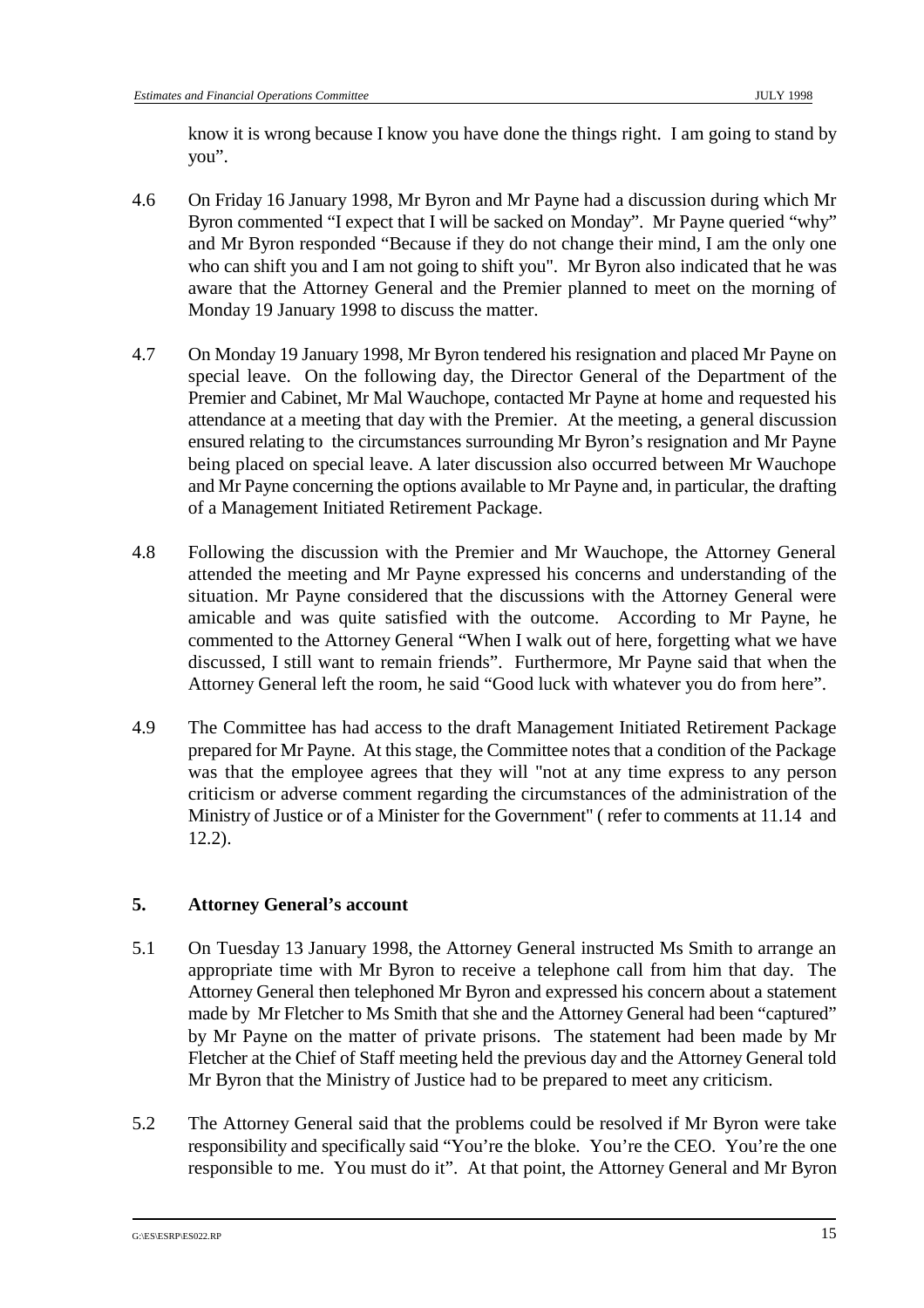know it is wrong because I know you have done the things right. I am going to stand by you".

- 4.6 On Friday 16 January 1998, Mr Byron and Mr Payne had a discussion during which Mr Byron commented "I expect that I will be sacked on Monday". Mr Payne queried "why" and Mr Byron responded "Because if they do not change their mind, I am the only one who can shift you and I am not going to shift you". Mr Byron also indicated that he was aware that the Attorney General and the Premier planned to meet on the morning of Monday 19 January 1998 to discuss the matter.
- 4.7 On Monday 19 January 1998, Mr Byron tendered his resignation and placed Mr Payne on special leave. On the following day, the Director General of the Department of the Premier and Cabinet, Mr Mal Wauchope, contacted Mr Payne at home and requested his attendance at a meeting that day with the Premier. At the meeting, a general discussion ensured relating to the circumstances surrounding Mr Byron's resignation and Mr Payne being placed on special leave. A later discussion also occurred between Mr Wauchope and Mr Payne concerning the options available to Mr Payne and, in particular, the drafting of a Management Initiated Retirement Package.
- 4.8 Following the discussion with the Premier and Mr Wauchope, the Attorney General attended the meeting and Mr Payne expressed his concerns and understanding of the situation. Mr Payne considered that the discussions with the Attorney General were amicable and was quite satisfied with the outcome. According to Mr Payne, he commented to the Attorney General "When I walk out of here, forgetting what we have discussed, I still want to remain friends". Furthermore, Mr Payne said that when the Attorney General left the room, he said "Good luck with whatever you do from here".
- 4.9 The Committee has had access to the draft Management Initiated Retirement Package prepared for Mr Payne. At this stage, the Committee notes that a condition of the Package was that the employee agrees that they will "not at any time express to any person criticism or adverse comment regarding the circumstances of the administration of the Ministry of Justice or of a Minister for the Government" ( refer to comments at 11.14 and 12.2).

#### **5. Attorney General's account**

- 5.1 On Tuesday 13 January 1998, the Attorney General instructed Ms Smith to arrange an appropriate time with Mr Byron to receive a telephone call from him that day. The Attorney General then telephoned Mr Byron and expressed his concern about a statement made by Mr Fletcher to Ms Smith that she and the Attorney General had been "captured" by Mr Payne on the matter of private prisons. The statement had been made by Mr Fletcher at the Chief of Staff meeting held the previous day and the Attorney General told Mr Byron that the Ministry of Justice had to be prepared to meet any criticism.
- 5.2 The Attorney General said that the problems could be resolved if Mr Byron were take responsibility and specifically said "You're the bloke. You're the CEO. You're the one responsible to me. You must do it". At that point, the Attorney General and Mr Byron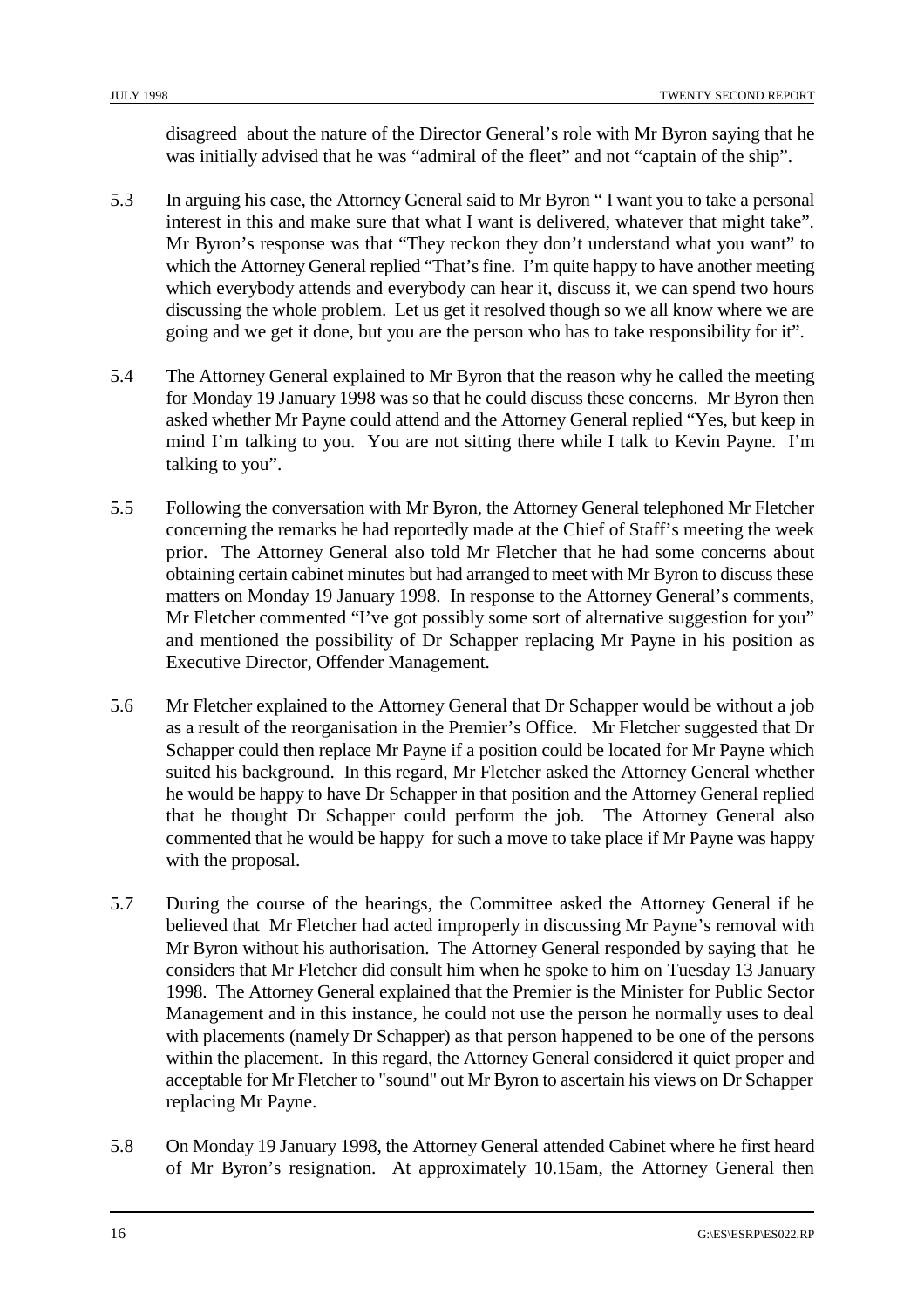disagreed about the nature of the Director General's role with Mr Byron saying that he was initially advised that he was "admiral of the fleet" and not "captain of the ship".

- 5.3 In arguing his case, the Attorney General said to Mr Byron " I want you to take a personal interest in this and make sure that what I want is delivered, whatever that might take". Mr Byron's response was that "They reckon they don't understand what you want" to which the Attorney General replied "That's fine. I'm quite happy to have another meeting which everybody attends and everybody can hear it, discuss it, we can spend two hours discussing the whole problem. Let us get it resolved though so we all know where we are going and we get it done, but you are the person who has to take responsibility for it".
- 5.4 The Attorney General explained to Mr Byron that the reason why he called the meeting for Monday 19 January 1998 was so that he could discuss these concerns. Mr Byron then asked whether Mr Payne could attend and the Attorney General replied "Yes, but keep in mind I'm talking to you. You are not sitting there while I talk to Kevin Payne. I'm talking to you".
- 5.5 Following the conversation with Mr Byron, the Attorney General telephoned Mr Fletcher concerning the remarks he had reportedly made at the Chief of Staff's meeting the week prior. The Attorney General also told Mr Fletcher that he had some concerns about obtaining certain cabinet minutes but had arranged to meet with Mr Byron to discuss these matters on Monday 19 January 1998. In response to the Attorney General's comments, Mr Fletcher commented "I've got possibly some sort of alternative suggestion for you" and mentioned the possibility of Dr Schapper replacing Mr Payne in his position as Executive Director, Offender Management.
- 5.6 Mr Fletcher explained to the Attorney General that Dr Schapper would be without a job as a result of the reorganisation in the Premier's Office. Mr Fletcher suggested that Dr Schapper could then replace Mr Payne if a position could be located for Mr Payne which suited his background. In this regard, Mr Fletcher asked the Attorney General whether he would be happy to have Dr Schapper in that position and the Attorney General replied that he thought Dr Schapper could perform the job. The Attorney General also commented that he would be happy for such a move to take place if Mr Payne was happy with the proposal.
- 5.7 During the course of the hearings, the Committee asked the Attorney General if he believed that Mr Fletcher had acted improperly in discussing Mr Payne's removal with Mr Byron without his authorisation. The Attorney General responded by saying that he considers that Mr Fletcher did consult him when he spoke to him on Tuesday 13 January 1998. The Attorney General explained that the Premier is the Minister for Public Sector Management and in this instance, he could not use the person he normally uses to deal with placements (namely Dr Schapper) as that person happened to be one of the persons within the placement. In this regard, the Attorney General considered it quiet proper and acceptable for Mr Fletcher to "sound" out Mr Byron to ascertain his views on Dr Schapper replacing Mr Payne.
- 5.8 On Monday 19 January 1998, the Attorney General attended Cabinet where he first heard of Mr Byron's resignation. At approximately 10.15am, the Attorney General then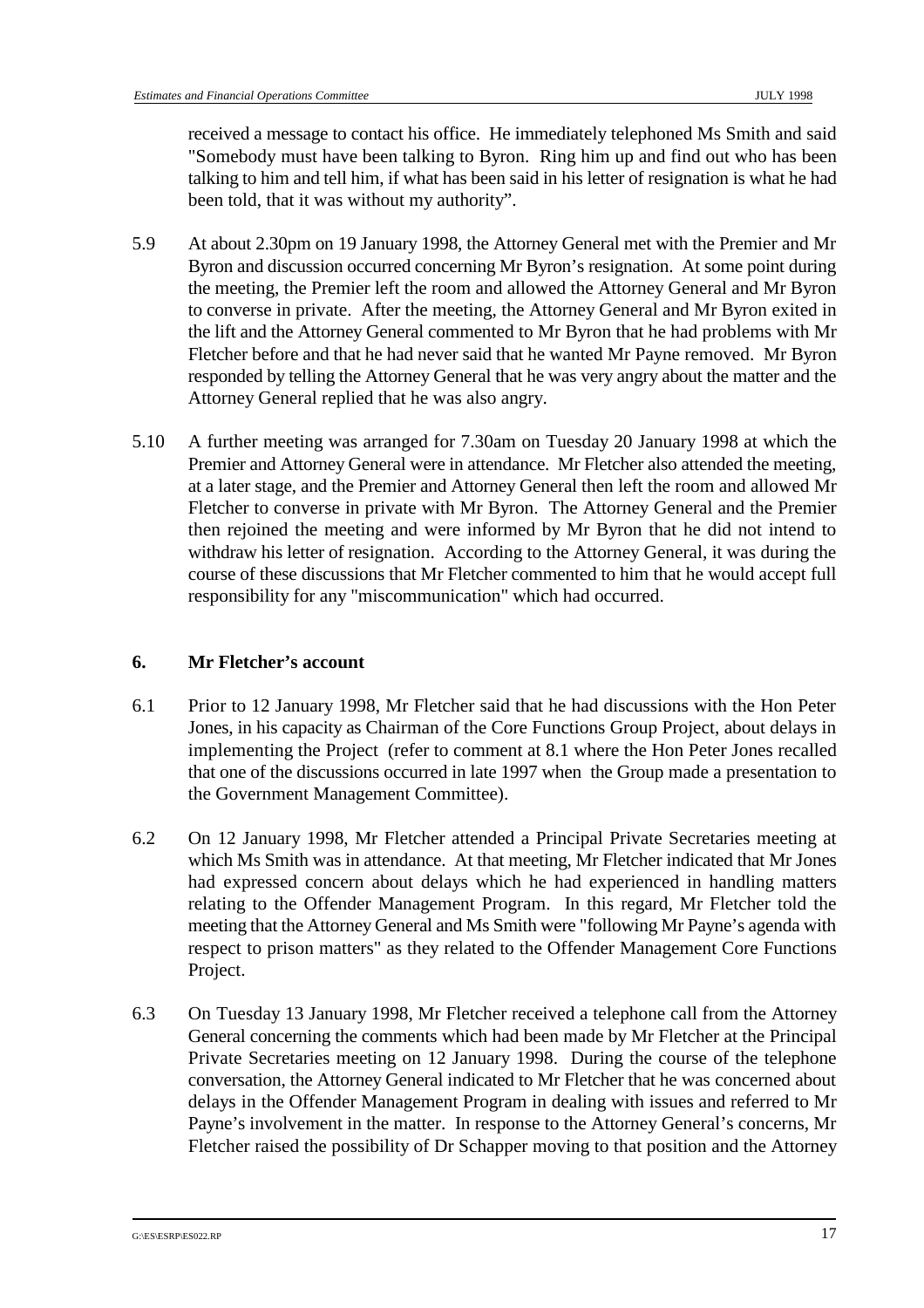received a message to contact his office. He immediately telephoned Ms Smith and said "Somebody must have been talking to Byron. Ring him up and find out who has been talking to him and tell him, if what has been said in his letter of resignation is what he had been told, that it was without my authority".

- 5.9 At about 2.30pm on 19 January 1998, the Attorney General met with the Premier and Mr Byron and discussion occurred concerning Mr Byron's resignation. At some point during the meeting, the Premier left the room and allowed the Attorney General and Mr Byron to converse in private. After the meeting, the Attorney General and Mr Byron exited in the lift and the Attorney General commented to Mr Byron that he had problems with Mr Fletcher before and that he had never said that he wanted Mr Payne removed. Mr Byron responded by telling the Attorney General that he was very angry about the matter and the Attorney General replied that he was also angry.
- 5.10 A further meeting was arranged for 7.30am on Tuesday 20 January 1998 at which the Premier and Attorney General were in attendance. Mr Fletcher also attended the meeting, at a later stage, and the Premier and Attorney General then left the room and allowed Mr Fletcher to converse in private with Mr Byron. The Attorney General and the Premier then rejoined the meeting and were informed by Mr Byron that he did not intend to withdraw his letter of resignation. According to the Attorney General, it was during the course of these discussions that Mr Fletcher commented to him that he would accept full responsibility for any "miscommunication" which had occurred.

#### **6. Mr Fletcher's account**

- 6.1 Prior to 12 January 1998, Mr Fletcher said that he had discussions with the Hon Peter Jones, in his capacity as Chairman of the Core Functions Group Project, about delays in implementing the Project (refer to comment at 8.1 where the Hon Peter Jones recalled that one of the discussions occurred in late 1997 when the Group made a presentation to the Government Management Committee).
- 6.2 On 12 January 1998, Mr Fletcher attended a Principal Private Secretaries meeting at which Ms Smith was in attendance. At that meeting, Mr Fletcher indicated that Mr Jones had expressed concern about delays which he had experienced in handling matters relating to the Offender Management Program. In this regard, Mr Fletcher told the meeting that the Attorney General and Ms Smith were "following Mr Payne's agenda with respect to prison matters" as they related to the Offender Management Core Functions Project.
- 6.3 On Tuesday 13 January 1998, Mr Fletcher received a telephone call from the Attorney General concerning the comments which had been made by Mr Fletcher at the Principal Private Secretaries meeting on 12 January 1998. During the course of the telephone conversation, the Attorney General indicated to Mr Fletcher that he was concerned about delays in the Offender Management Program in dealing with issues and referred to Mr Payne's involvement in the matter. In response to the Attorney General's concerns, Mr Fletcher raised the possibility of Dr Schapper moving to that position and the Attorney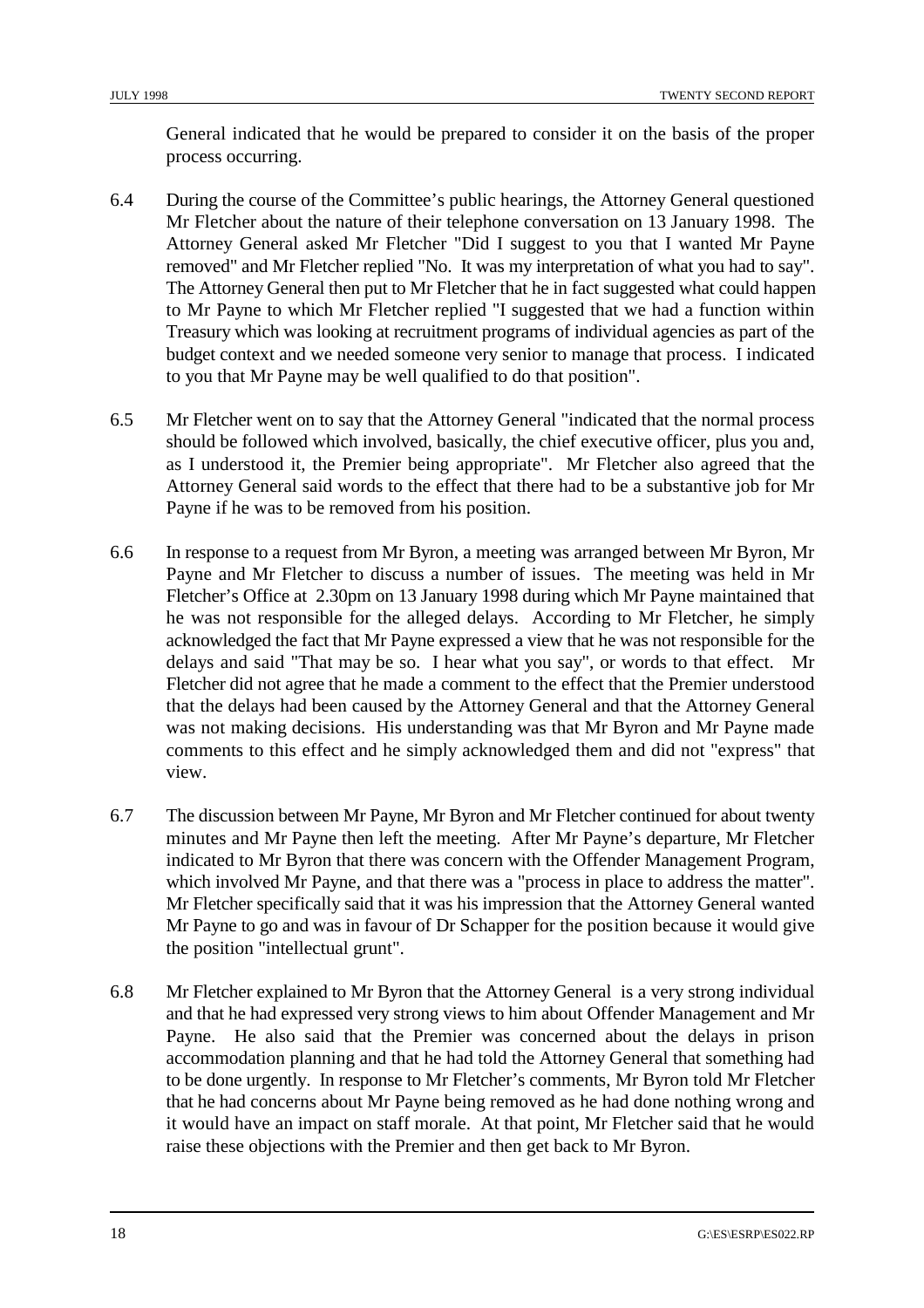General indicated that he would be prepared to consider it on the basis of the proper process occurring.

- 6.4 During the course of the Committee's public hearings, the Attorney General questioned Mr Fletcher about the nature of their telephone conversation on 13 January 1998. The Attorney General asked Mr Fletcher "Did I suggest to you that I wanted Mr Payne removed" and Mr Fletcher replied "No. It was my interpretation of what you had to say". The Attorney General then put to Mr Fletcher that he in fact suggested what could happen to Mr Payne to which Mr Fletcher replied "I suggested that we had a function within Treasury which was looking at recruitment programs of individual agencies as part of the budget context and we needed someone very senior to manage that process. I indicated to you that Mr Payne may be well qualified to do that position".
- 6.5 Mr Fletcher went on to say that the Attorney General "indicated that the normal process should be followed which involved, basically, the chief executive officer, plus you and, as I understood it, the Premier being appropriate". Mr Fletcher also agreed that the Attorney General said words to the effect that there had to be a substantive job for Mr Payne if he was to be removed from his position.
- 6.6 In response to a request from Mr Byron, a meeting was arranged between Mr Byron, Mr Payne and Mr Fletcher to discuss a number of issues. The meeting was held in Mr Fletcher's Office at 2.30pm on 13 January 1998 during which Mr Payne maintained that he was not responsible for the alleged delays. According to Mr Fletcher, he simply acknowledged the fact that Mr Payne expressed a view that he was not responsible for the delays and said "That may be so. I hear what you say", or words to that effect. Mr Fletcher did not agree that he made a comment to the effect that the Premier understood that the delays had been caused by the Attorney General and that the Attorney General was not making decisions. His understanding was that Mr Byron and Mr Payne made comments to this effect and he simply acknowledged them and did not "express" that view.
- 6.7 The discussion between Mr Payne, Mr Byron and Mr Fletcher continued for about twenty minutes and Mr Payne then left the meeting. After Mr Payne's departure, Mr Fletcher indicated to Mr Byron that there was concern with the Offender Management Program, which involved Mr Payne, and that there was a "process in place to address the matter". Mr Fletcher specifically said that it was his impression that the Attorney General wanted Mr Payne to go and was in favour of Dr Schapper for the position because it would give the position "intellectual grunt".
- 6.8 Mr Fletcher explained to Mr Byron that the Attorney General is a very strong individual and that he had expressed very strong views to him about Offender Management and Mr Payne. He also said that the Premier was concerned about the delays in prison accommodation planning and that he had told the Attorney General that something had to be done urgently. In response to Mr Fletcher's comments, Mr Byron told Mr Fletcher that he had concerns about Mr Payne being removed as he had done nothing wrong and it would have an impact on staff morale. At that point, Mr Fletcher said that he would raise these objections with the Premier and then get back to Mr Byron.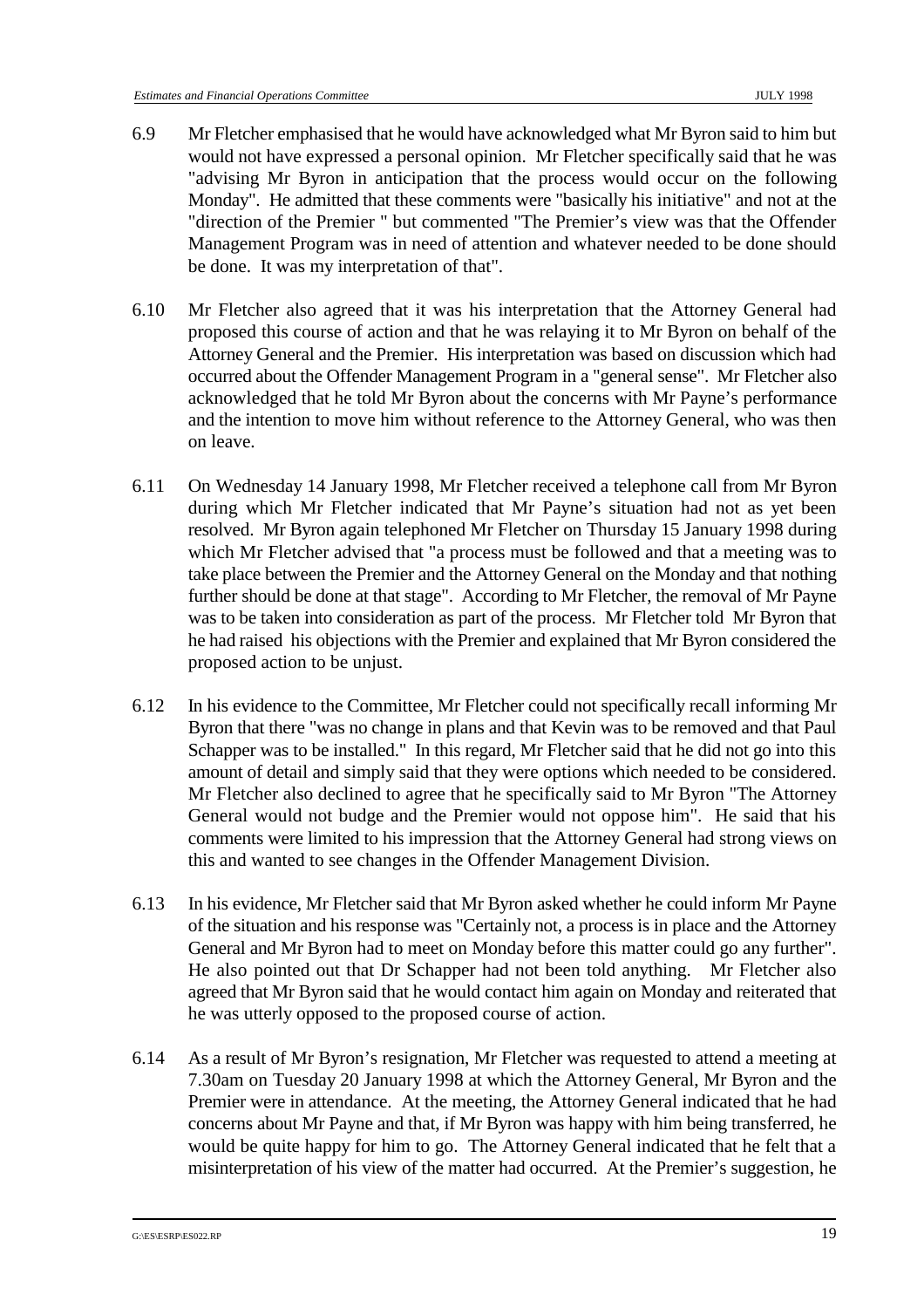- 6.9 Mr Fletcher emphasised that he would have acknowledged what Mr Byron said to him but would not have expressed a personal opinion. Mr Fletcher specifically said that he was "advising Mr Byron in anticipation that the process would occur on the following Monday". He admitted that these comments were "basically his initiative" and not at the "direction of the Premier " but commented "The Premier's view was that the Offender Management Program was in need of attention and whatever needed to be done should be done. It was my interpretation of that".
- 6.10 Mr Fletcher also agreed that it was his interpretation that the Attorney General had proposed this course of action and that he was relaying it to Mr Byron on behalf of the Attorney General and the Premier. His interpretation was based on discussion which had occurred about the Offender Management Program in a "general sense". Mr Fletcher also acknowledged that he told Mr Byron about the concerns with Mr Payne's performance and the intention to move him without reference to the Attorney General, who was then on leave.
- 6.11 On Wednesday 14 January 1998, Mr Fletcher received a telephone call from Mr Byron during which Mr Fletcher indicated that Mr Payne's situation had not as yet been resolved. Mr Byron again telephoned Mr Fletcher on Thursday 15 January 1998 during which Mr Fletcher advised that "a process must be followed and that a meeting was to take place between the Premier and the Attorney General on the Monday and that nothing further should be done at that stage". According to Mr Fletcher, the removal of Mr Payne was to be taken into consideration as part of the process. Mr Fletcher told Mr Byron that he had raised his objections with the Premier and explained that Mr Byron considered the proposed action to be unjust.
- 6.12 In his evidence to the Committee, Mr Fletcher could not specifically recall informing Mr Byron that there "was no change in plans and that Kevin was to be removed and that Paul Schapper was to be installed." In this regard, Mr Fletcher said that he did not go into this amount of detail and simply said that they were options which needed to be considered. Mr Fletcher also declined to agree that he specifically said to Mr Byron "The Attorney General would not budge and the Premier would not oppose him". He said that his comments were limited to his impression that the Attorney General had strong views on this and wanted to see changes in the Offender Management Division.
- 6.13 In his evidence, Mr Fletcher said that Mr Byron asked whether he could inform Mr Payne of the situation and his response was "Certainly not, a process is in place and the Attorney General and Mr Byron had to meet on Monday before this matter could go any further". He also pointed out that Dr Schapper had not been told anything. Mr Fletcher also agreed that Mr Byron said that he would contact him again on Monday and reiterated that he was utterly opposed to the proposed course of action.
- 6.14 As a result of Mr Byron's resignation, Mr Fletcher was requested to attend a meeting at 7.30am on Tuesday 20 January 1998 at which the Attorney General, Mr Byron and the Premier were in attendance. At the meeting, the Attorney General indicated that he had concerns about Mr Payne and that, if Mr Byron was happy with him being transferred, he would be quite happy for him to go. The Attorney General indicated that he felt that a misinterpretation of his view of the matter had occurred. At the Premier's suggestion, he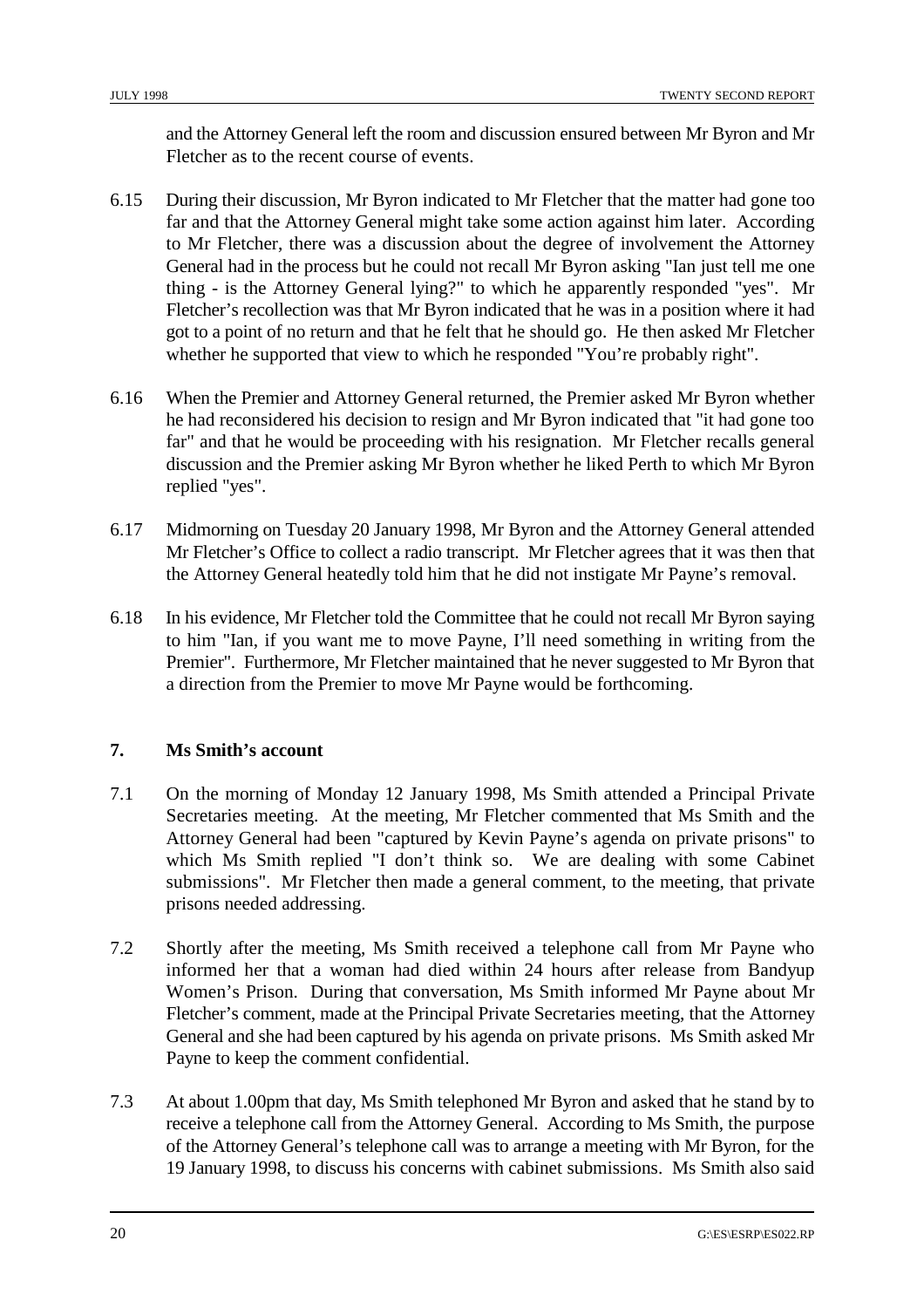and the Attorney General left the room and discussion ensured between Mr Byron and Mr Fletcher as to the recent course of events.

- 6.15 During their discussion, Mr Byron indicated to Mr Fletcher that the matter had gone too far and that the Attorney General might take some action against him later. According to Mr Fletcher, there was a discussion about the degree of involvement the Attorney General had in the process but he could not recall Mr Byron asking "Ian just tell me one thing - is the Attorney General lying?" to which he apparently responded "yes". Mr Fletcher's recollection was that Mr Byron indicated that he was in a position where it had got to a point of no return and that he felt that he should go. He then asked Mr Fletcher whether he supported that view to which he responded "You're probably right".
- 6.16 When the Premier and Attorney General returned, the Premier asked Mr Byron whether he had reconsidered his decision to resign and Mr Byron indicated that "it had gone too far" and that he would be proceeding with his resignation. Mr Fletcher recalls general discussion and the Premier asking Mr Byron whether he liked Perth to which Mr Byron replied "yes".
- 6.17 Midmorning on Tuesday 20 January 1998, Mr Byron and the Attorney General attended Mr Fletcher's Office to collect a radio transcript. Mr Fletcher agrees that it was then that the Attorney General heatedly told him that he did not instigate Mr Payne's removal.
- 6.18 In his evidence, Mr Fletcher told the Committee that he could not recall Mr Byron saying to him "Ian, if you want me to move Payne, I'll need something in writing from the Premier". Furthermore, Mr Fletcher maintained that he never suggested to Mr Byron that a direction from the Premier to move Mr Payne would be forthcoming.

#### **7. Ms Smith's account**

- 7.1 On the morning of Monday 12 January 1998, Ms Smith attended a Principal Private Secretaries meeting. At the meeting, Mr Fletcher commented that Ms Smith and the Attorney General had been "captured by Kevin Payne's agenda on private prisons" to which Ms Smith replied "I don't think so. We are dealing with some Cabinet submissions". Mr Fletcher then made a general comment, to the meeting, that private prisons needed addressing.
- 7.2 Shortly after the meeting, Ms Smith received a telephone call from Mr Payne who informed her that a woman had died within 24 hours after release from Bandyup Women's Prison. During that conversation, Ms Smith informed Mr Payne about Mr Fletcher's comment, made at the Principal Private Secretaries meeting, that the Attorney General and she had been captured by his agenda on private prisons. Ms Smith asked Mr Payne to keep the comment confidential.
- 7.3 At about 1.00pm that day, Ms Smith telephoned Mr Byron and asked that he stand by to receive a telephone call from the Attorney General. According to Ms Smith, the purpose of the Attorney General's telephone call was to arrange a meeting with Mr Byron, for the 19 January 1998, to discuss his concerns with cabinet submissions. Ms Smith also said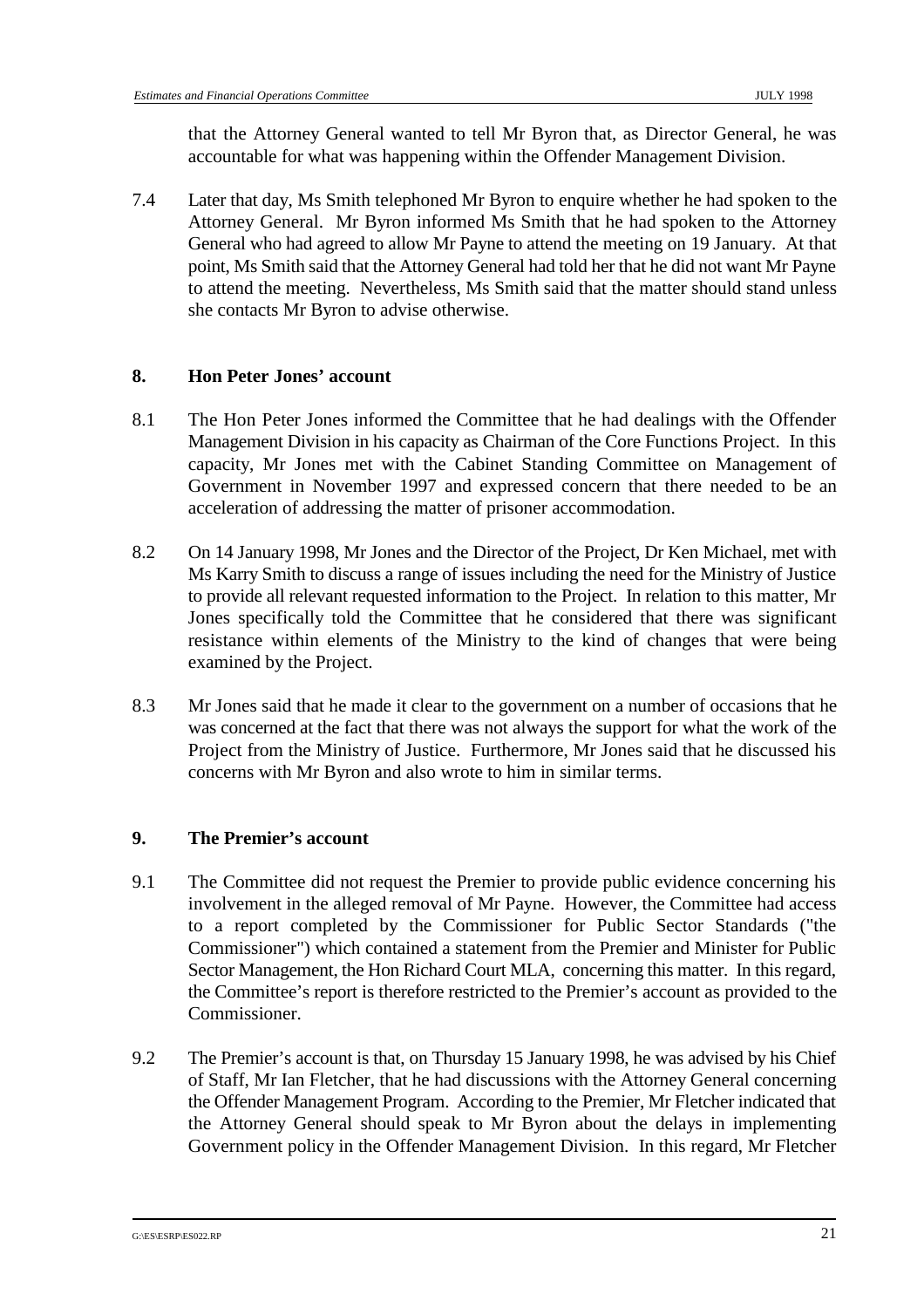that the Attorney General wanted to tell Mr Byron that, as Director General, he was accountable for what was happening within the Offender Management Division.

7.4 Later that day, Ms Smith telephoned Mr Byron to enquire whether he had spoken to the Attorney General. Mr Byron informed Ms Smith that he had spoken to the Attorney General who had agreed to allow Mr Payne to attend the meeting on 19 January. At that point, Ms Smith said that the Attorney General had told her that he did not want Mr Payne to attend the meeting. Nevertheless, Ms Smith said that the matter should stand unless she contacts Mr Byron to advise otherwise.

#### **8. Hon Peter Jones' account**

- 8.1 The Hon Peter Jones informed the Committee that he had dealings with the Offender Management Division in his capacity as Chairman of the Core Functions Project. In this capacity, Mr Jones met with the Cabinet Standing Committee on Management of Government in November 1997 and expressed concern that there needed to be an acceleration of addressing the matter of prisoner accommodation.
- 8.2 On 14 January 1998, Mr Jones and the Director of the Project, Dr Ken Michael, met with Ms Karry Smith to discuss a range of issues including the need for the Ministry of Justice to provide all relevant requested information to the Project. In relation to this matter, Mr Jones specifically told the Committee that he considered that there was significant resistance within elements of the Ministry to the kind of changes that were being examined by the Project.
- 8.3 Mr Jones said that he made it clear to the government on a number of occasions that he was concerned at the fact that there was not always the support for what the work of the Project from the Ministry of Justice. Furthermore, Mr Jones said that he discussed his concerns with Mr Byron and also wrote to him in similar terms.

#### **9. The Premier's account**

- 9.1 The Committee did not request the Premier to provide public evidence concerning his involvement in the alleged removal of Mr Payne. However, the Committee had access to a report completed by the Commissioner for Public Sector Standards ("the Commissioner") which contained a statement from the Premier and Minister for Public Sector Management, the Hon Richard Court MLA, concerning this matter. In this regard, the Committee's report is therefore restricted to the Premier's account as provided to the Commissioner.
- 9.2 The Premier's account is that, on Thursday 15 January 1998, he was advised by his Chief of Staff, Mr Ian Fletcher, that he had discussions with the Attorney General concerning the Offender Management Program. According to the Premier, Mr Fletcher indicated that the Attorney General should speak to Mr Byron about the delays in implementing Government policy in the Offender Management Division. In this regard, Mr Fletcher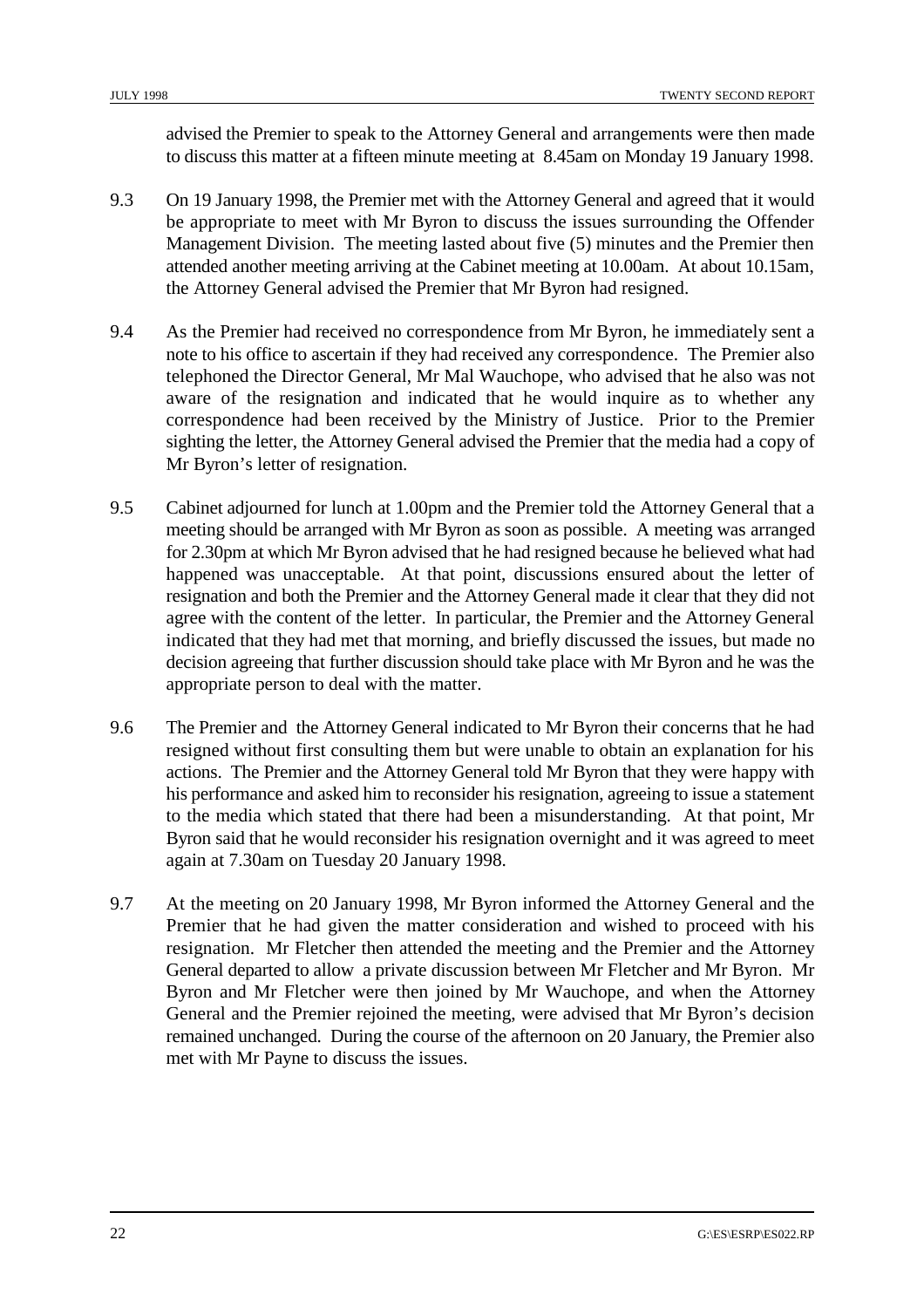advised the Premier to speak to the Attorney General and arrangements were then made to discuss this matter at a fifteen minute meeting at 8.45am on Monday 19 January 1998.

- 9.3 On 19 January 1998, the Premier met with the Attorney General and agreed that it would be appropriate to meet with Mr Byron to discuss the issues surrounding the Offender Management Division. The meeting lasted about five (5) minutes and the Premier then attended another meeting arriving at the Cabinet meeting at 10.00am. At about 10.15am, the Attorney General advised the Premier that Mr Byron had resigned.
- 9.4 As the Premier had received no correspondence from Mr Byron, he immediately sent a note to his office to ascertain if they had received any correspondence. The Premier also telephoned the Director General, Mr Mal Wauchope, who advised that he also was not aware of the resignation and indicated that he would inquire as to whether any correspondence had been received by the Ministry of Justice. Prior to the Premier sighting the letter, the Attorney General advised the Premier that the media had a copy of Mr Byron's letter of resignation.
- 9.5 Cabinet adjourned for lunch at 1.00pm and the Premier told the Attorney General that a meeting should be arranged with Mr Byron as soon as possible. A meeting was arranged for 2.30pm at which Mr Byron advised that he had resigned because he believed what had happened was unacceptable. At that point, discussions ensured about the letter of resignation and both the Premier and the Attorney General made it clear that they did not agree with the content of the letter. In particular, the Premier and the Attorney General indicated that they had met that morning, and briefly discussed the issues, but made no decision agreeing that further discussion should take place with Mr Byron and he was the appropriate person to deal with the matter.
- 9.6 The Premier and the Attorney General indicated to Mr Byron their concerns that he had resigned without first consulting them but were unable to obtain an explanation for his actions. The Premier and the Attorney General told Mr Byron that they were happy with his performance and asked him to reconsider his resignation, agreeing to issue a statement to the media which stated that there had been a misunderstanding. At that point, Mr Byron said that he would reconsider his resignation overnight and it was agreed to meet again at 7.30am on Tuesday 20 January 1998.
- 9.7 At the meeting on 20 January 1998, Mr Byron informed the Attorney General and the Premier that he had given the matter consideration and wished to proceed with his resignation. Mr Fletcher then attended the meeting and the Premier and the Attorney General departed to allow a private discussion between Mr Fletcher and Mr Byron. Mr Byron and Mr Fletcher were then joined by Mr Wauchope, and when the Attorney General and the Premier rejoined the meeting, were advised that Mr Byron's decision remained unchanged. During the course of the afternoon on 20 January, the Premier also met with Mr Payne to discuss the issues.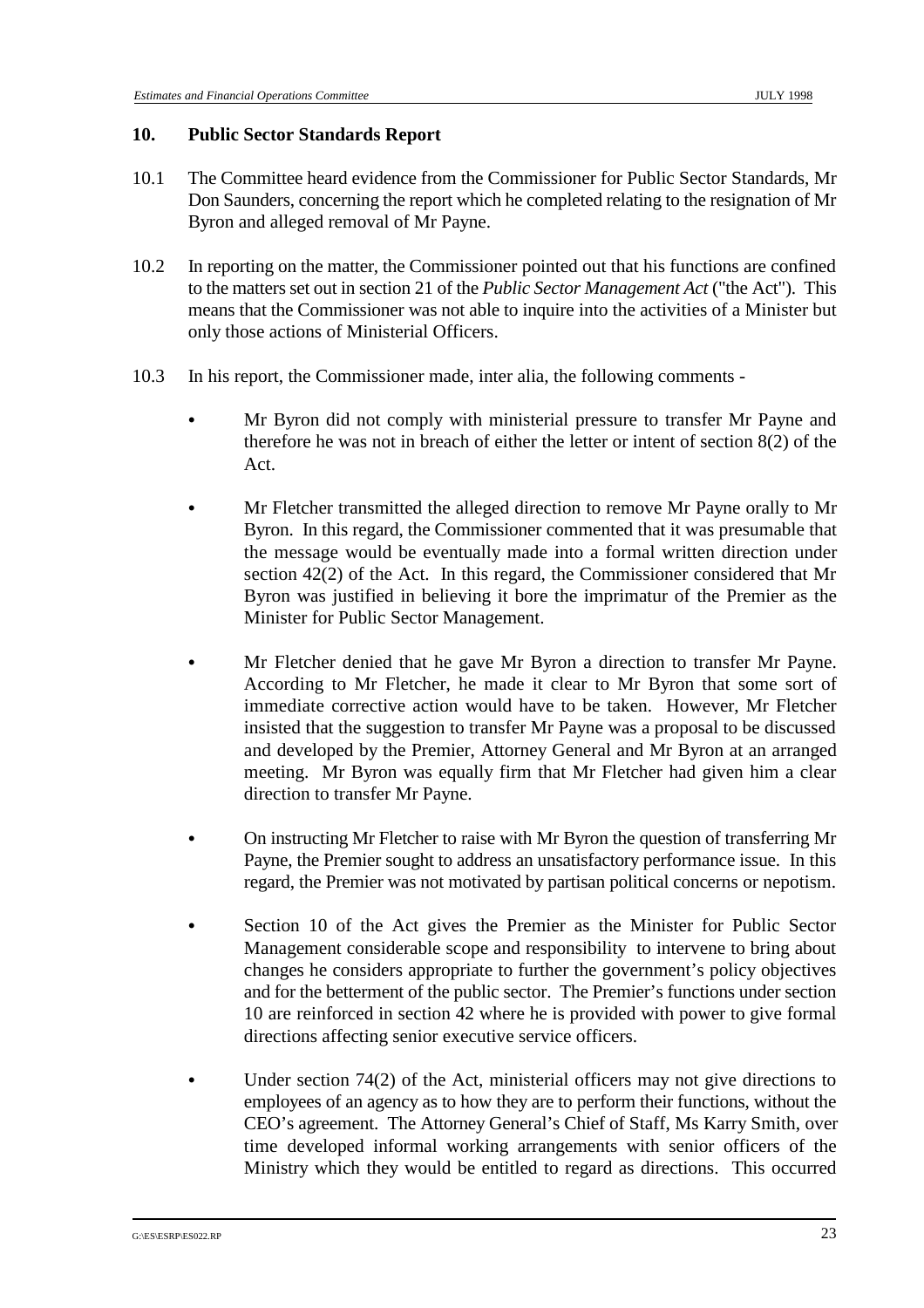#### **10. Public Sector Standards Report**

- 10.1 The Committee heard evidence from the Commissioner for Public Sector Standards, Mr Don Saunders, concerning the report which he completed relating to the resignation of Mr Byron and alleged removal of Mr Payne.
- 10.2 In reporting on the matter, the Commissioner pointed out that his functions are confined to the matters set out in section 21 of the *Public Sector Management Act* ("the Act"). This means that the Commissioner was not able to inquire into the activities of a Minister but only those actions of Ministerial Officers.
- 10.3 In his report, the Commissioner made, inter alia, the following comments
	- & Mr Byron did not comply with ministerial pressure to transfer Mr Payne and therefore he was not in breach of either the letter or intent of section 8(2) of the Act.
	- & Mr Fletcher transmitted the alleged direction to remove Mr Payne orally to Mr Byron. In this regard, the Commissioner commented that it was presumable that the message would be eventually made into a formal written direction under section 42(2) of the Act. In this regard, the Commissioner considered that Mr Byron was justified in believing it bore the imprimatur of the Premier as the Minister for Public Sector Management.
	- & Mr Fletcher denied that he gave Mr Byron a direction to transfer Mr Payne. According to Mr Fletcher, he made it clear to Mr Byron that some sort of immediate corrective action would have to be taken. However, Mr Fletcher insisted that the suggestion to transfer Mr Payne was a proposal to be discussed and developed by the Premier, Attorney General and Mr Byron at an arranged meeting. Mr Byron was equally firm that Mr Fletcher had given him a clear direction to transfer Mr Payne.
	- & On instructing Mr Fletcher to raise with Mr Byron the question of transferring Mr Payne, the Premier sought to address an unsatisfactory performance issue. In this regard, the Premier was not motivated by partisan political concerns or nepotism.
	- Section 10 of the Act gives the Premier as the Minister for Public Sector Management considerable scope and responsibility to intervene to bring about changes he considers appropriate to further the government's policy objectives and for the betterment of the public sector. The Premier's functions under section 10 are reinforced in section 42 where he is provided with power to give formal directions affecting senior executive service officers.
	- Under section  $74(2)$  of the Act, ministerial officers may not give directions to employees of an agency as to how they are to perform their functions, without the CEO's agreement. The Attorney General's Chief of Staff, Ms Karry Smith, over time developed informal working arrangements with senior officers of the Ministry which they would be entitled to regard as directions. This occurred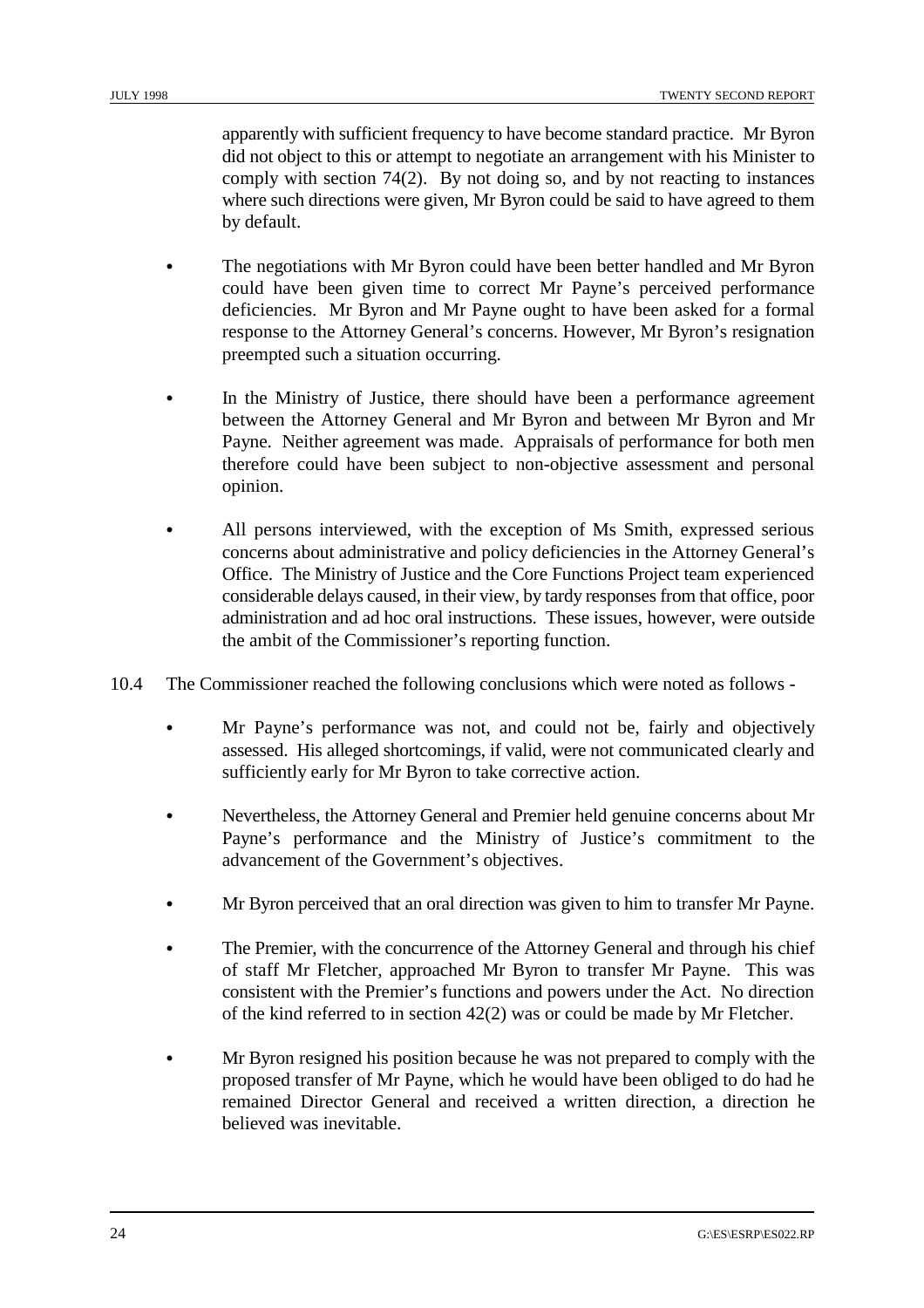apparently with sufficient frequency to have become standard practice. Mr Byron did not object to this or attempt to negotiate an arrangement with his Minister to comply with section 74(2). By not doing so, and by not reacting to instances where such directions were given, Mr Byron could be said to have agreed to them by default.

- The negotiations with Mr Byron could have been better handled and Mr Byron could have been given time to correct Mr Payne's perceived performance deficiencies. Mr Byron and Mr Payne ought to have been asked for a formal response to the Attorney General's concerns. However, Mr Byron's resignation preempted such a situation occurring.
- In the Ministry of Justice, there should have been a performance agreement between the Attorney General and Mr Byron and between Mr Byron and Mr Payne. Neither agreement was made. Appraisals of performance for both men therefore could have been subject to non-objective assessment and personal opinion.
- & All persons interviewed, with the exception of Ms Smith, expressed serious concerns about administrative and policy deficiencies in the Attorney General's Office. The Ministry of Justice and the Core Functions Project team experienced considerable delays caused, in their view, by tardy responses from that office, poor administration and ad hoc oral instructions. These issues, however, were outside the ambit of the Commissioner's reporting function.
- 10.4 The Commissioner reached the following conclusions which were noted as follows
	- & Mr Payne's performance was not, and could not be, fairly and objectively assessed. His alleged shortcomings, if valid, were not communicated clearly and sufficiently early for Mr Byron to take corrective action.
	- Nevertheless, the Attorney General and Premier held genuine concerns about Mr Payne's performance and the Ministry of Justice's commitment to the advancement of the Government's objectives.
	- Mr Byron perceived that an oral direction was given to him to transfer Mr Payne.
	- The Premier, with the concurrence of the Attorney General and through his chief of staff Mr Fletcher, approached Mr Byron to transfer Mr Payne. This was consistent with the Premier's functions and powers under the Act. No direction of the kind referred to in section 42(2) was or could be made by Mr Fletcher.
	- & Mr Byron resigned his position because he was not prepared to comply with the proposed transfer of Mr Payne, which he would have been obliged to do had he remained Director General and received a written direction, a direction he believed was inevitable.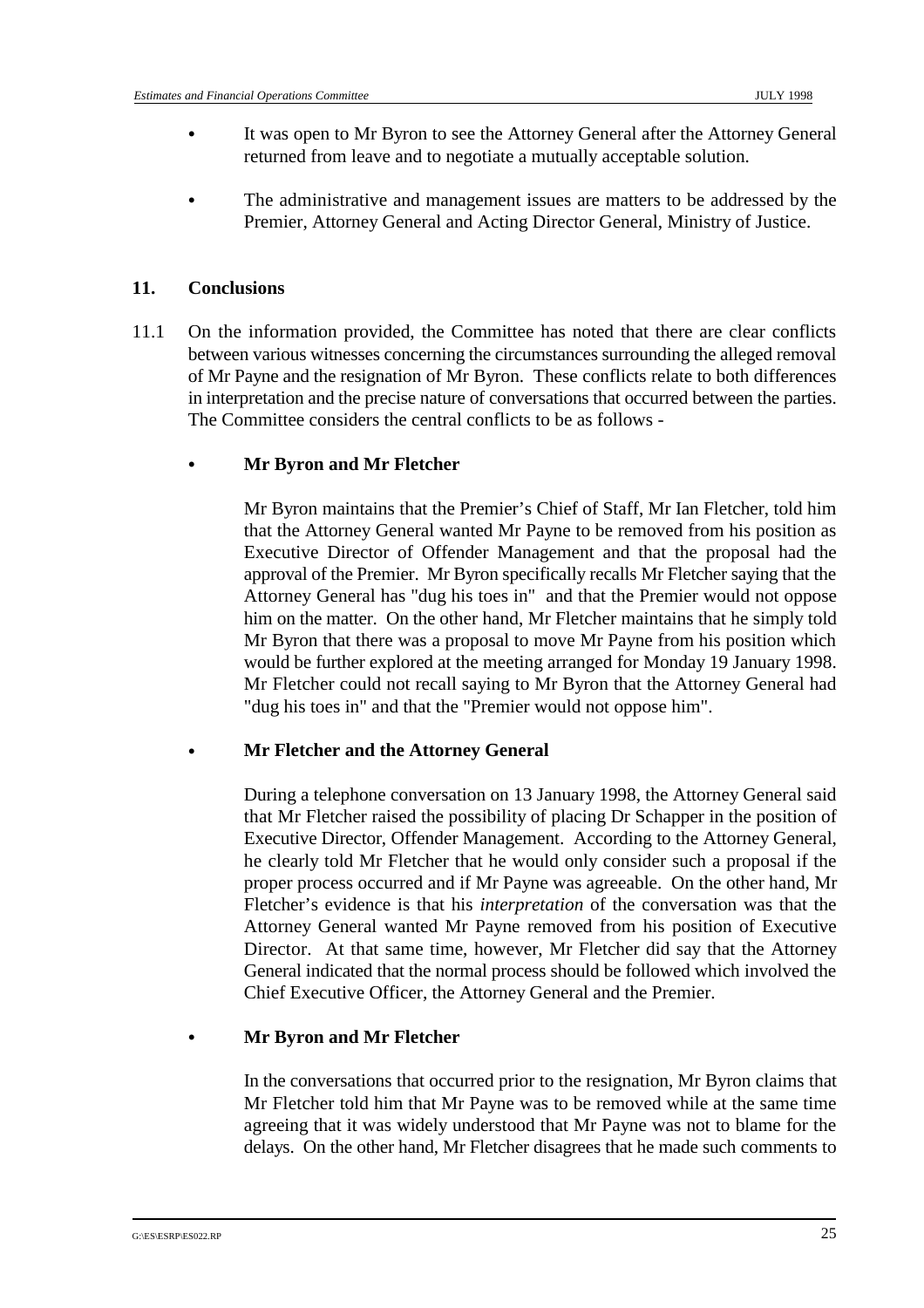- & It was open to Mr Byron to see the Attorney General after the Attorney General returned from leave and to negotiate a mutually acceptable solution.
- The administrative and management issues are matters to be addressed by the Premier, Attorney General and Acting Director General, Ministry of Justice.

#### **11. Conclusions**

11.1 On the information provided, the Committee has noted that there are clear conflicts between various witnesses concerning the circumstances surrounding the alleged removal of Mr Payne and the resignation of Mr Byron. These conflicts relate to both differences in interpretation and the precise nature of conversations that occurred between the parties. The Committee considers the central conflicts to be as follows -

#### & **Mr Byron and Mr Fletcher**

Mr Byron maintains that the Premier's Chief of Staff, Mr Ian Fletcher, told him that the Attorney General wanted Mr Payne to be removed from his position as Executive Director of Offender Management and that the proposal had the approval of the Premier. Mr Byron specifically recalls Mr Fletcher saying that the Attorney General has "dug his toes in" and that the Premier would not oppose him on the matter. On the other hand, Mr Fletcher maintains that he simply told Mr Byron that there was a proposal to move Mr Payne from his position which would be further explored at the meeting arranged for Monday 19 January 1998. Mr Fletcher could not recall saying to Mr Byron that the Attorney General had "dug his toes in" and that the "Premier would not oppose him".

#### & **Mr Fletcher and the Attorney General**

During a telephone conversation on 13 January 1998, the Attorney General said that Mr Fletcher raised the possibility of placing Dr Schapper in the position of Executive Director, Offender Management. According to the Attorney General, he clearly told Mr Fletcher that he would only consider such a proposal if the proper process occurred and if Mr Payne was agreeable. On the other hand, Mr Fletcher's evidence is that his *interpretation* of the conversation was that the Attorney General wanted Mr Payne removed from his position of Executive Director. At that same time, however, Mr Fletcher did say that the Attorney General indicated that the normal process should be followed which involved the Chief Executive Officer, the Attorney General and the Premier.

#### & **Mr Byron and Mr Fletcher**

In the conversations that occurred prior to the resignation, Mr Byron claims that Mr Fletcher told him that Mr Payne was to be removed while at the same time agreeing that it was widely understood that Mr Payne was not to blame for the delays. On the other hand, Mr Fletcher disagrees that he made such comments to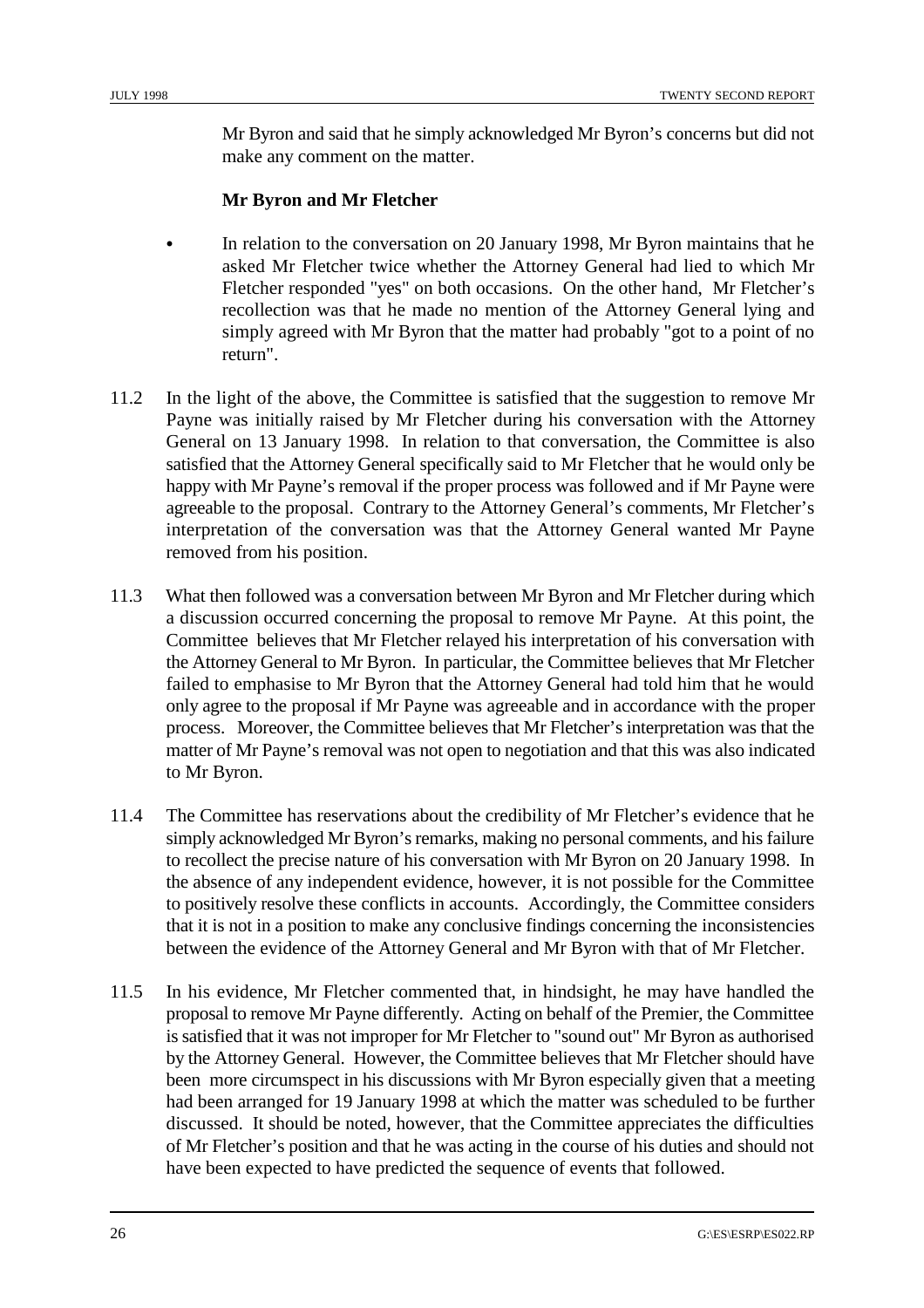Mr Byron and said that he simply acknowledged Mr Byron's concerns but did not make any comment on the matter.

#### **Mr Byron and Mr Fletcher**

- In relation to the conversation on 20 January 1998, Mr Byron maintains that he asked Mr Fletcher twice whether the Attorney General had lied to which Mr Fletcher responded "yes" on both occasions. On the other hand, Mr Fletcher's recollection was that he made no mention of the Attorney General lying and simply agreed with Mr Byron that the matter had probably "got to a point of no return".
- 11.2 In the light of the above, the Committee is satisfied that the suggestion to remove Mr Payne was initially raised by Mr Fletcher during his conversation with the Attorney General on 13 January 1998. In relation to that conversation, the Committee is also satisfied that the Attorney General specifically said to Mr Fletcher that he would only be happy with Mr Payne's removal if the proper process was followed and if Mr Payne were agreeable to the proposal. Contrary to the Attorney General's comments, Mr Fletcher's interpretation of the conversation was that the Attorney General wanted Mr Payne removed from his position.
- 11.3 What then followed was a conversation between Mr Byron and Mr Fletcher during which a discussion occurred concerning the proposal to remove Mr Payne. At this point, the Committee believes that Mr Fletcher relayed his interpretation of his conversation with the Attorney General to Mr Byron. In particular, the Committee believes that Mr Fletcher failed to emphasise to Mr Byron that the Attorney General had told him that he would only agree to the proposal if Mr Payne was agreeable and in accordance with the proper process. Moreover, the Committee believes that Mr Fletcher's interpretation was that the matter of Mr Payne's removal was not open to negotiation and that this was also indicated to Mr Byron.
- 11.4 The Committee has reservations about the credibility of Mr Fletcher's evidence that he simply acknowledged Mr Byron's remarks, making no personal comments, and his failure to recollect the precise nature of his conversation with Mr Byron on 20 January 1998. In the absence of any independent evidence, however, it is not possible for the Committee to positively resolve these conflicts in accounts. Accordingly, the Committee considers that it is not in a position to make any conclusive findings concerning the inconsistencies between the evidence of the Attorney General and Mr Byron with that of Mr Fletcher.
- 11.5 In his evidence, Mr Fletcher commented that, in hindsight, he may have handled the proposal to remove Mr Payne differently. Acting on behalf of the Premier, the Committee is satisfied that it was not improper for Mr Fletcher to "sound out" Mr Byron as authorised by the Attorney General. However, the Committee believes that Mr Fletcher should have been more circumspect in his discussions with Mr Byron especially given that a meeting had been arranged for 19 January 1998 at which the matter was scheduled to be further discussed. It should be noted, however, that the Committee appreciates the difficulties of Mr Fletcher's position and that he was acting in the course of his duties and should not have been expected to have predicted the sequence of events that followed.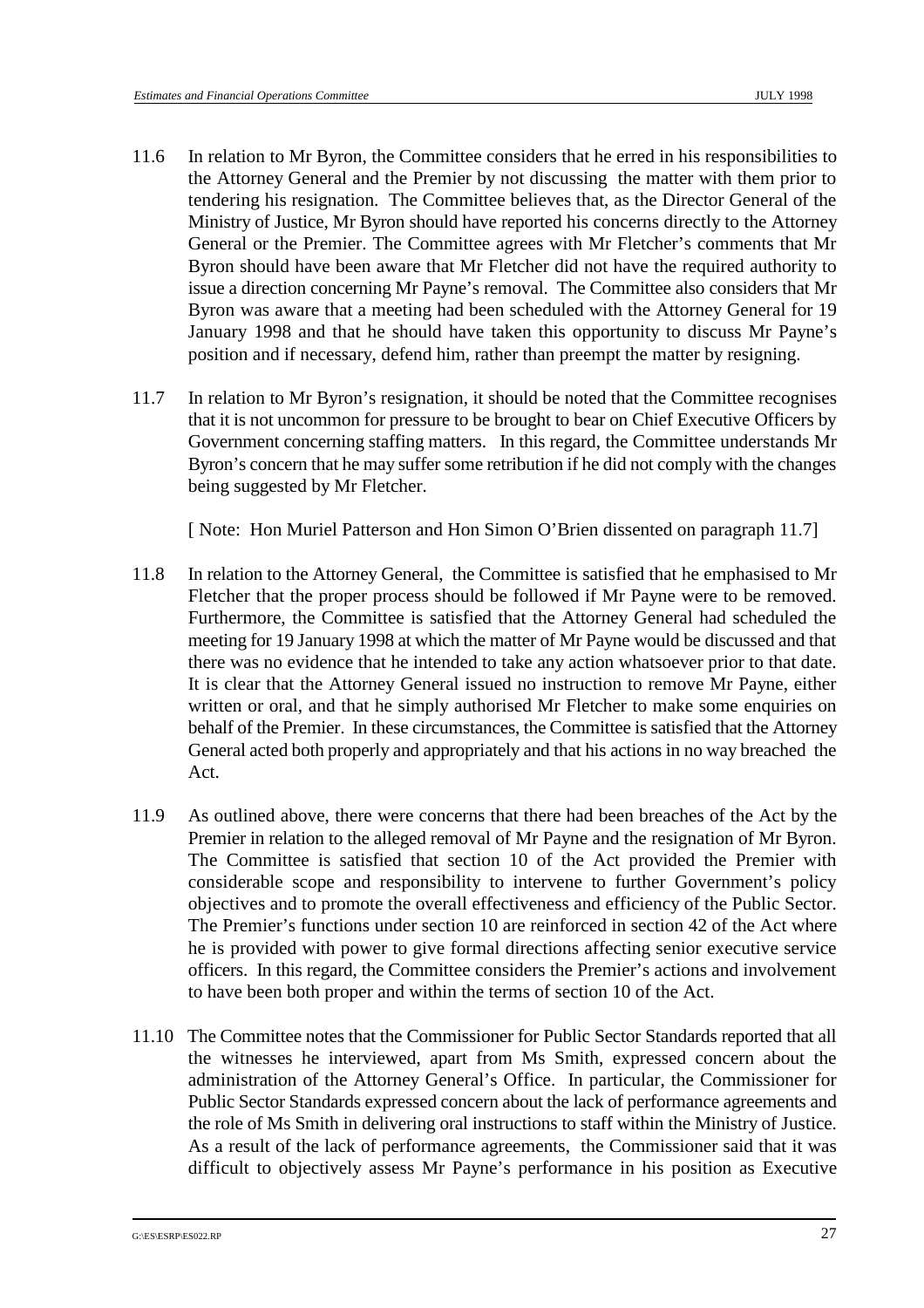- 11.6 In relation to Mr Byron, the Committee considers that he erred in his responsibilities to the Attorney General and the Premier by not discussing the matter with them prior to tendering his resignation. The Committee believes that, as the Director General of the Ministry of Justice, Mr Byron should have reported his concerns directly to the Attorney General or the Premier. The Committee agrees with Mr Fletcher's comments that Mr Byron should have been aware that Mr Fletcher did not have the required authority to issue a direction concerning Mr Payne's removal. The Committee also considers that Mr Byron was aware that a meeting had been scheduled with the Attorney General for 19 January 1998 and that he should have taken this opportunity to discuss Mr Payne's position and if necessary, defend him, rather than preempt the matter by resigning.
- 11.7 In relation to Mr Byron's resignation, it should be noted that the Committee recognises that it is not uncommon for pressure to be brought to bear on Chief Executive Officers by Government concerning staffing matters. In this regard, the Committee understands Mr Byron's concern that he may suffer some retribution if he did not comply with the changes being suggested by Mr Fletcher.

[ Note: Hon Muriel Patterson and Hon Simon O'Brien dissented on paragraph 11.7]

- 11.8 In relation to the Attorney General, the Committee is satisfied that he emphasised to Mr Fletcher that the proper process should be followed if Mr Payne were to be removed. Furthermore, the Committee is satisfied that the Attorney General had scheduled the meeting for 19 January 1998 at which the matter of Mr Payne would be discussed and that there was no evidence that he intended to take any action whatsoever prior to that date. It is clear that the Attorney General issued no instruction to remove Mr Payne, either written or oral, and that he simply authorised Mr Fletcher to make some enquiries on behalf of the Premier. In these circumstances, the Committee is satisfied that the Attorney General acted both properly and appropriately and that his actions in no way breached the Act.
- 11.9 As outlined above, there were concerns that there had been breaches of the Act by the Premier in relation to the alleged removal of Mr Payne and the resignation of Mr Byron. The Committee is satisfied that section 10 of the Act provided the Premier with considerable scope and responsibility to intervene to further Government's policy objectives and to promote the overall effectiveness and efficiency of the Public Sector. The Premier's functions under section 10 are reinforced in section 42 of the Act where he is provided with power to give formal directions affecting senior executive service officers. In this regard, the Committee considers the Premier's actions and involvement to have been both proper and within the terms of section 10 of the Act.
- 11.10 The Committee notes that the Commissioner for Public Sector Standards reported that all the witnesses he interviewed, apart from Ms Smith, expressed concern about the administration of the Attorney General's Office. In particular, the Commissioner for Public Sector Standards expressed concern about the lack of performance agreements and the role of Ms Smith in delivering oral instructions to staff within the Ministry of Justice. As a result of the lack of performance agreements, the Commissioner said that it was difficult to objectively assess Mr Payne's performance in his position as Executive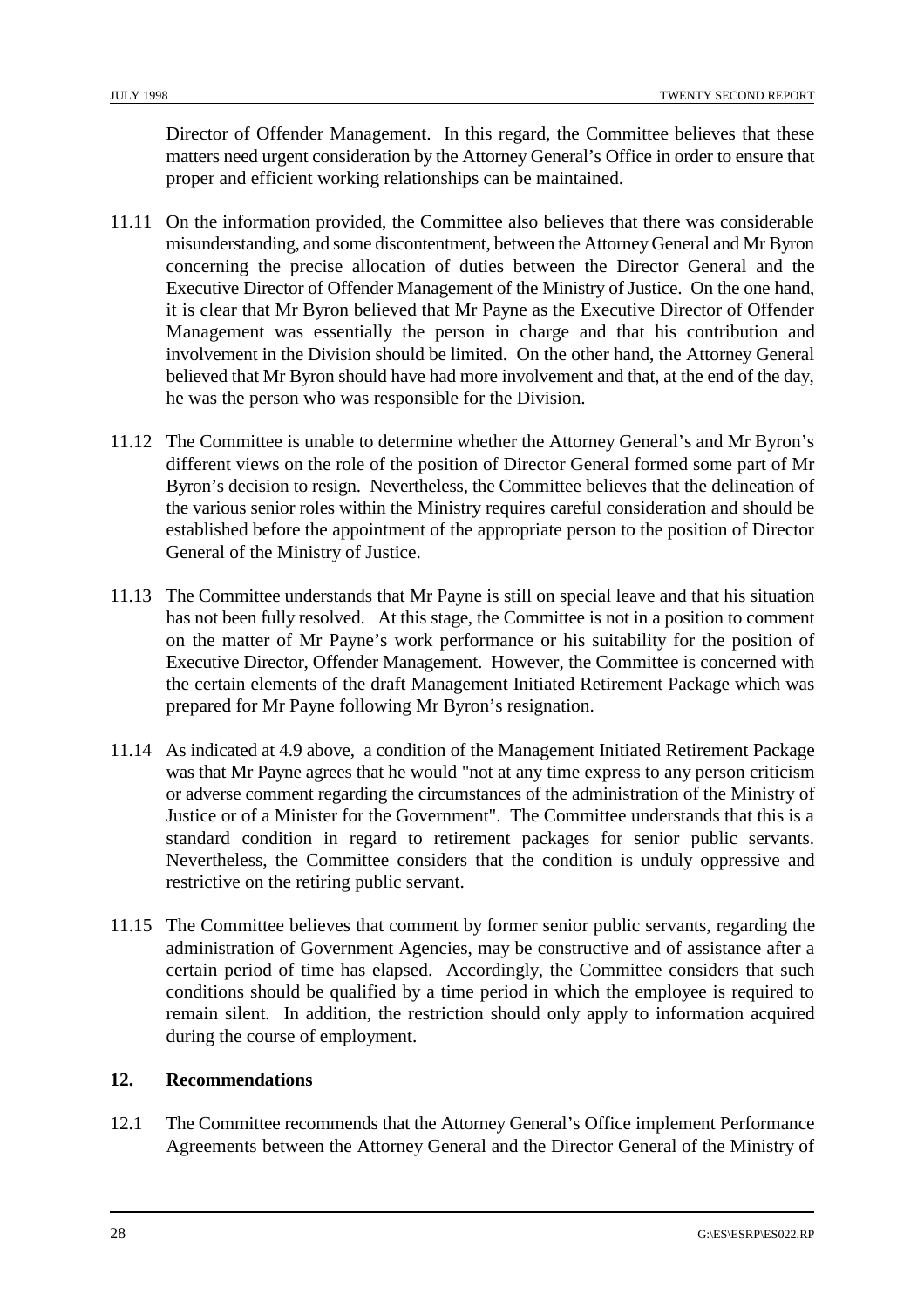Director of Offender Management. In this regard, the Committee believes that these matters need urgent consideration by the Attorney General's Office in order to ensure that proper and efficient working relationships can be maintained.

- 11.11 On the information provided, the Committee also believes that there was considerable misunderstanding, and some discontentment, between the Attorney General and Mr Byron concerning the precise allocation of duties between the Director General and the Executive Director of Offender Management of the Ministry of Justice. On the one hand, it is clear that Mr Byron believed that Mr Payne as the Executive Director of Offender Management was essentially the person in charge and that his contribution and involvement in the Division should be limited. On the other hand, the Attorney General believed that Mr Byron should have had more involvement and that, at the end of the day, he was the person who was responsible for the Division.
- 11.12 The Committee is unable to determine whether the Attorney General's and Mr Byron's different views on the role of the position of Director General formed some part of Mr Byron's decision to resign. Nevertheless, the Committee believes that the delineation of the various senior roles within the Ministry requires careful consideration and should be established before the appointment of the appropriate person to the position of Director General of the Ministry of Justice.
- 11.13 The Committee understands that Mr Payne is still on special leave and that his situation has not been fully resolved. At this stage, the Committee is not in a position to comment on the matter of Mr Payne's work performance or his suitability for the position of Executive Director, Offender Management. However, the Committee is concerned with the certain elements of the draft Management Initiated Retirement Package which was prepared for Mr Payne following Mr Byron's resignation.
- 11.14 As indicated at 4.9 above, a condition of the Management Initiated Retirement Package was that Mr Payne agrees that he would "not at any time express to any person criticism or adverse comment regarding the circumstances of the administration of the Ministry of Justice or of a Minister for the Government". The Committee understands that this is a standard condition in regard to retirement packages for senior public servants. Nevertheless, the Committee considers that the condition is unduly oppressive and restrictive on the retiring public servant.
- 11.15 The Committee believes that comment by former senior public servants, regarding the administration of Government Agencies, may be constructive and of assistance after a certain period of time has elapsed. Accordingly, the Committee considers that such conditions should be qualified by a time period in which the employee is required to remain silent. In addition, the restriction should only apply to information acquired during the course of employment.

#### **12. Recommendations**

12.1 The Committee recommends that the Attorney General's Office implement Performance Agreements between the Attorney General and the Director General of the Ministry of